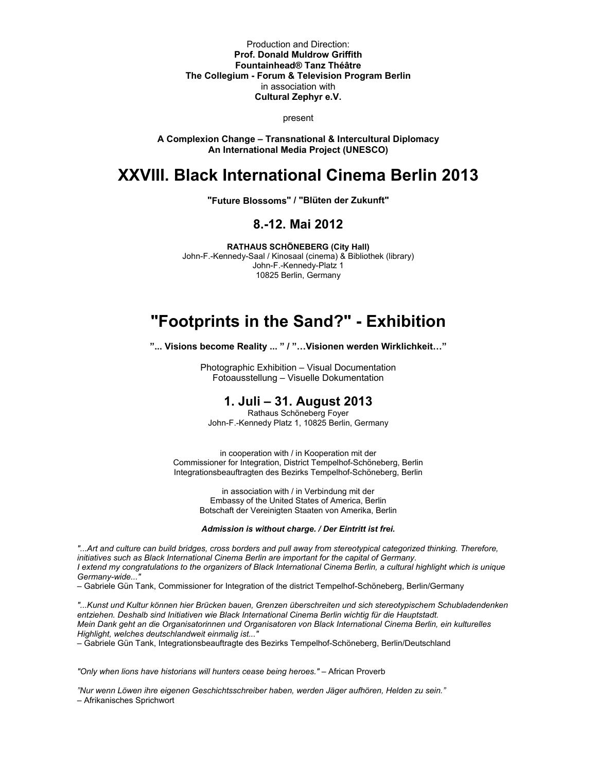Production and Direction: **Prof. Donald Muldrow Griffith Fountainhead® Tanz Théâtre The Collegium - Forum & Television Program Berlin**  in association with **Cultural Zephyr e.V.** 

present

**A Complexion Change – Transnational & Intercultural Diplomacy An International Media Project (UNESCO)** 

# **XXVIII. Black International Cinema Berlin 2013**

**"Future Blossoms" / "Blüten der Zukunft"** 

## **8.-12. Mai 2012**

**RATHAUS SCHÖNEBERG (City Hall)**  John-F.-Kennedy-Saal / Kinosaal (cinema) & Bibliothek (library) John-F.-Kennedy-Platz 1 10825 Berlin, Germany

# **"Footprints in the Sand?" - Exhibition**

**"... Visions become Reality ... " / "…Visionen werden Wirklichkeit…"** 

Photographic Exhibition – Visual Documentation Fotoausstellung – Visuelle Dokumentation

# **1. Juli – 31. August 2013**

Rathaus Schöneberg Foyer John-F.-Kennedy Platz 1, 10825 Berlin, Germany

in cooperation with / in Kooperation mit der Commissioner for Integration, District Tempelhof-Schöneberg, Berlin Integrationsbeauftragten des Bezirks Tempelhof-Schöneberg, Berlin

> in association with / in Verbindung mit der Embassy of the United States of America, Berlin Botschaft der Vereinigten Staaten von Amerika, Berlin

*Admission is without charge. / Der Eintritt ist frei.*

*"...Art and culture can build bridges, cross borders and pull away from stereotypical categorized thinking. Therefore, initiatives such as Black International Cinema Berlin are important for the capital of Germany. I extend my congratulations to the organizers of Black International Cinema Berlin, a cultural highlight which is unique Germany-wide..."* 

– Gabriele Gün Tank, Commissioner for Integration of the district Tempelhof-Schöneberg, Berlin/Germany

*"...Kunst und Kultur können hier Brücken bauen, Grenzen überschreiten und sich stereotypischem Schubladendenken entziehen. Deshalb sind Initiativen wie Black International Cinema Berlin wichtig für die Hauptstadt. Mein Dank geht an die Organisatorinnen und Organisatoren von Black International Cinema Berlin, ein kulturelles Highlight, welches deutschlandweit einmalig ist..."* 

– Gabriele Gün Tank, Integrationsbeauftragte des Bezirks Tempelhof-Schöneberg, Berlin/Deutschland

*"Only when lions have historians will hunters cease being heroes."* – African Proverb

*"Nur wenn Löwen ihre eigenen Geschichtsschreiber haben, werden Jäger aufhören, Helden zu sein."*  – Afrikanisches Sprichwort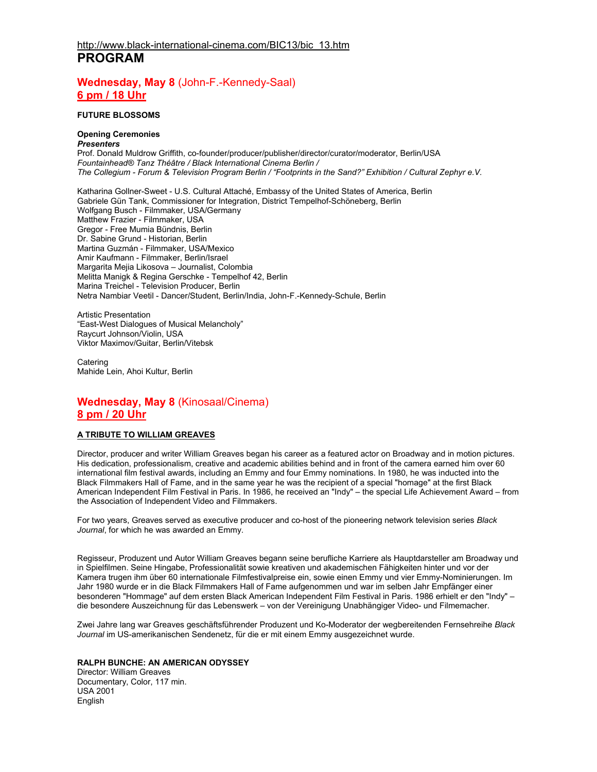## **Wednesday, May 8** (John-F.-Kennedy-Saal) **6 pm / 18 Uhr**

### **FUTURE BLOSSOMS**

### **Opening Ceremonies**

*Presenters*  Prof. Donald Muldrow Griffith, co-founder/producer/publisher/director/curator/moderator, Berlin/USA *Fountainhead® Tanz Théâtre / Black International Cinema Berlin / The Collegium - Forum & Television Program Berlin / "Footprints in the Sand?" Exhibition / Cultural Zephyr e.V.* 

Katharina Gollner-Sweet - U.S. Cultural Attaché, Embassy of the United States of America, Berlin Gabriele Gün Tank, Commissioner for Integration, District Tempelhof-Schöneberg, Berlin Wolfgang Busch - Filmmaker, USA/Germany Matthew Frazier - Filmmaker, USA Gregor - Free Mumia Bündnis, Berlin Dr. Sabine Grund - Historian, Berlin Martina Guzmán - Filmmaker, USA/Mexico Amir Kaufmann - Filmmaker, Berlin/Israel Margarita Mejia Likosova – Journalist, Colombia Melitta Manigk & Regina Gerschke - Tempelhof 42, Berlin Marina Treichel - Television Producer, Berlin Netra Nambiar Veetil - Dancer/Student, Berlin/India, John-F.-Kennedy-Schule, Berlin

Artistic Presentation "East-West Dialogues of Musical Melancholy" Raycurt Johnson/Violin, USA Viktor Maximov/Guitar, Berlin/Vitebsk

**Catering** Mahide Lein, Ahoi Kultur, Berlin

# **Wednesday, May 8** (Kinosaal/Cinema) **8 pm / 20 Uhr**

### **A TRIBUTE TO WILLIAM GREAVES**

Director, producer and writer William Greaves began his career as a featured actor on Broadway and in motion pictures. His dedication, professionalism, creative and academic abilities behind and in front of the camera earned him over 60 international film festival awards, including an Emmy and four Emmy nominations. In 1980, he was inducted into the Black Filmmakers Hall of Fame, and in the same year he was the recipient of a special "homage" at the first Black American Independent Film Festival in Paris. In 1986, he received an "Indy" – the special Life Achievement Award – from the Association of Independent Video and Filmmakers.

For two years, Greaves served as executive producer and co-host of the pioneering network television series *Black Journal*, for which he was awarded an Emmy.

Regisseur, Produzent und Autor William Greaves begann seine berufliche Karriere als Hauptdarsteller am Broadway und in Spielfilmen. Seine Hingabe, Professionalität sowie kreativen und akademischen Fähigkeiten hinter und vor der Kamera trugen ihm über 60 internationale Filmfestivalpreise ein, sowie einen Emmy und vier Emmy-Nominierungen. Im Jahr 1980 wurde er in die Black Filmmakers Hall of Fame aufgenommen und war im selben Jahr Empfänger einer besonderen "Hommage" auf dem ersten Black American Independent Film Festival in Paris. 1986 erhielt er den "Indy" – die besondere Auszeichnung für das Lebenswerk – von der Vereinigung Unabhängiger Video- und Filmemacher.

Zwei Jahre lang war Greaves geschäftsführender Produzent und Ko-Moderator der wegbereitenden Fernsehreihe *Black Journal* im US-amerikanischen Sendenetz, für die er mit einem Emmy ausgezeichnet wurde.

### **RALPH BUNCHE: AN AMERICAN ODYSSEY**

Director: William Greaves Documentary, Color, 117 min. USA 2001 English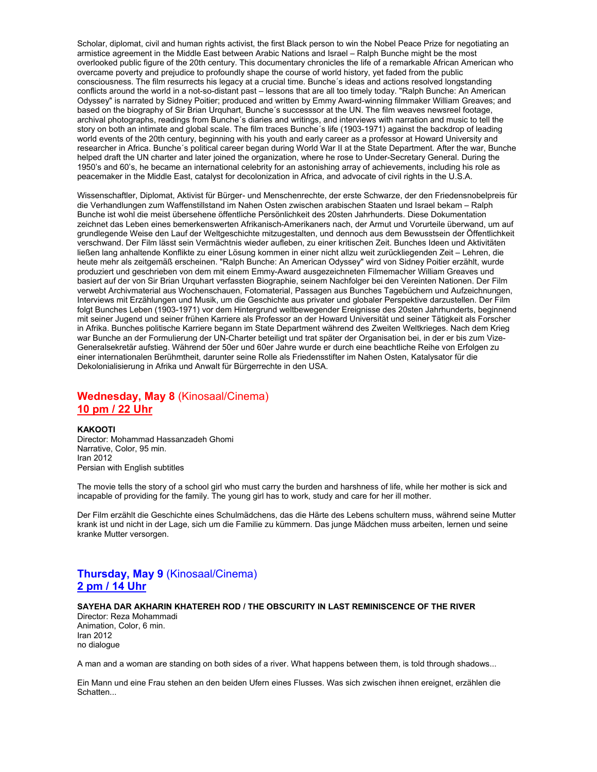Scholar, diplomat, civil and human rights activist, the first Black person to win the Nobel Peace Prize for negotiating an armistice agreement in the Middle East between Arabic Nations and Israel – Ralph Bunche might be the most overlooked public figure of the 20th century. This documentary chronicles the life of a remarkable African American who overcame poverty and prejudice to profoundly shape the course of world history, yet faded from the public consciousness. The film resurrects his legacy at a crucial time. Bunche´s ideas and actions resolved longstanding conflicts around the world in a not-so-distant past – lessons that are all too timely today. "Ralph Bunche: An American Odyssey" is narrated by Sidney Poitier; produced and written by Emmy Award-winning filmmaker William Greaves; and based on the biography of Sir Brian Urquhart, Bunche´s successsor at the UN. The film weaves newsreel footage, archival photographs, readings from Bunche´s diaries and writings, and interviews with narration and music to tell the story on both an intimate and global scale. The film traces Bunche´s life (1903-1971) against the backdrop of leading world events of the 20th century, beginning with his youth and early career as a professor at Howard University and researcher in Africa. Bunche´s political career began during World War II at the State Department. After the war, Bunche helped draft the UN charter and later joined the organization, where he rose to Under-Secretary General. During the 1950's and 60's, he became an international celebrity for an astonishing array of achievements, including his role as peacemaker in the Middle East, catalyst for decolonization in Africa, and advocate of civil rights in the U.S.A.

Wissenschaftler, Diplomat, Aktivist für Bürger- und Menschenrechte, der erste Schwarze, der den Friedensnobelpreis für die Verhandlungen zum Waffenstillstand im Nahen Osten zwischen arabischen Staaten und Israel bekam – Ralph Bunche ist wohl die meist übersehene öffentliche Persönlichkeit des 20sten Jahrhunderts. Diese Dokumentation zeichnet das Leben eines bemerkenswerten Afrikanisch-Amerikaners nach, der Armut und Vorurteile überwand, um auf grundlegende Weise den Lauf der Weltgeschichte mitzugestalten, und dennoch aus dem Bewusstsein der Öffentlichkeit verschwand. Der Film lässt sein Vermächtnis wieder aufleben, zu einer kritischen Zeit. Bunches Ideen und Aktivitäten ließen lang anhaltende Konflikte zu einer Lösung kommen in einer nicht allzu weit zurückliegenden Zeit – Lehren, die heute mehr als zeitgemäß erscheinen. "Ralph Bunche: An American Odyssey" wird von Sidney Poitier erzählt, wurde produziert und geschrieben von dem mit einem Emmy-Award ausgezeichneten Filmemacher William Greaves und basiert auf der von Sir Brian Urquhart verfassten Biographie, seinem Nachfolger bei den Vereinten Nationen. Der Film verwebt Archivmaterial aus Wochenschauen, Fotomaterial, Passagen aus Bunches Tagebüchern und Aufzeichnungen, Interviews mit Erzählungen und Musik, um die Geschichte aus privater und globaler Perspektive darzustellen. Der Film folgt Bunches Leben (1903-1971) vor dem Hintergrund weltbewegender Ereignisse des 20sten Jahrhunderts, beginnend mit seiner Jugend und seiner frühen Karriere als Professor an der Howard Universität und seiner Tätigkeit als Forscher in Afrika. Bunches politische Karriere begann im State Department während des Zweiten Weltkrieges. Nach dem Krieg war Bunche an der Formulierung der UN-Charter beteiligt und trat später der Organisation bei, in der er bis zum Vize-Generalsekretär aufstieg. Während der 50er und 60er Jahre wurde er durch eine beachtliche Reihe von Erfolgen zu einer internationalen Berühmtheit, darunter seine Rolle als Friedensstifter im Nahen Osten, Katalysator für die Dekolonialisierung in Afrika und Anwalt für Bürgerrechte in den USA.

# **Wednesday, May 8** (Kinosaal/Cinema) **10 pm / 22 Uhr**

#### **KAKOOTI**

Director: Mohammad Hassanzadeh Ghomi Narrative, Color, 95 min. Iran 2012 Persian with English subtitles

The movie tells the story of a school girl who must carry the burden and harshness of life, while her mother is sick and incapable of providing for the family. The young girl has to work, study and care for her ill mother.

Der Film erzählt die Geschichte eines Schulmädchens, das die Härte des Lebens schultern muss, während seine Mutter krank ist und nicht in der Lage, sich um die Familie zu kümmern. Das junge Mädchen muss arbeiten, lernen und seine kranke Mutter versorgen.

# **Thursday, May 9** (Kinosaal/Cinema) **2 pm / 14 Uhr**

### **SAYEHA DAR AKHARIN KHATEREH ROD / THE OBSCURITY IN LAST REMINISCENCE OF THE RIVER**

Director: Reza Mohammadi Animation, Color, 6 min. Iran 2012 no dialogue

A man and a woman are standing on both sides of a river. What happens between them, is told through shadows...

Ein Mann und eine Frau stehen an den beiden Ufern eines Flusses. Was sich zwischen ihnen ereignet, erzählen die Schatten...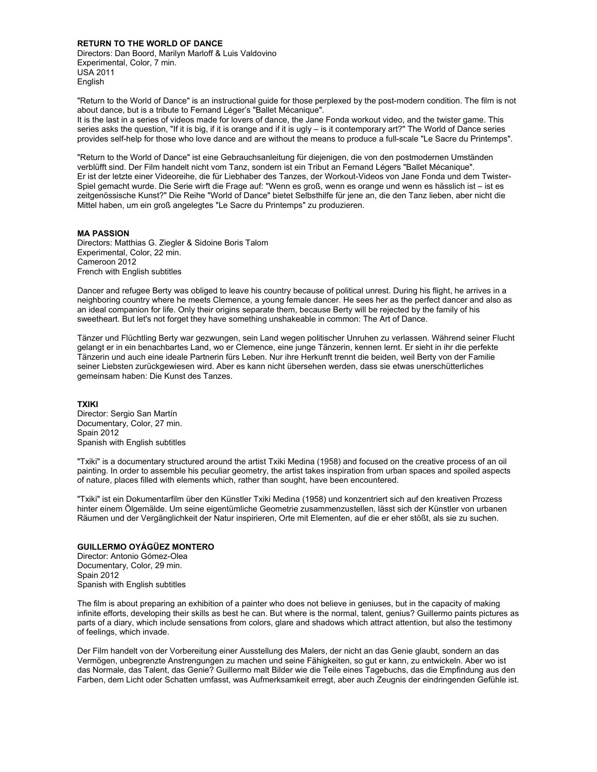**RETURN TO THE WORLD OF DANCE** 

Directors: Dan Boord, Marilyn Marloff & Luis Valdovino Experimental, Color, 7 min. USA 2011 English

"Return to the World of Dance" is an instructional guide for those perplexed by the post-modern condition. The film is not about dance, but is a tribute to Fernand Léger's "Ballet Mécanique".

It is the last in a series of videos made for lovers of dance, the Jane Fonda workout video, and the twister game. This series asks the question, "If it is big, if it is orange and if it is ugly – is it contemporary art?" The World of Dance series provides self-help for those who love dance and are without the means to produce a full-scale "Le Sacre du Printemps".

"Return to the World of Dance" ist eine Gebrauchsanleitung für diejenigen, die von den postmodernen Umständen verblüfft sind. Der Film handelt nicht vom Tanz, sondern ist ein Tribut an Fernand Légers "Ballet Mécanique". Er ist der letzte einer Videoreihe, die für Liebhaber des Tanzes, der Workout-Videos von Jane Fonda und dem Twister-Spiel gemacht wurde. Die Serie wirft die Frage auf: "Wenn es groß, wenn es orange und wenn es hässlich ist – ist es zeitgenössische Kunst?" Die Reihe "World of Dance" bietet Selbsthilfe für jene an, die den Tanz lieben, aber nicht die Mittel haben, um ein groß angelegtes "Le Sacre du Printemps" zu produzieren.

#### **MA PASSION**

Directors: Matthias G. Ziegler & Sidoine Boris Talom Experimental, Color, 22 min. Cameroon 2012 French with English subtitles

Dancer and refugee Berty was obliged to leave his country because of political unrest. During his flight, he arrives in a neighboring country where he meets Clemence, a young female dancer. He sees her as the perfect dancer and also as an ideal companion for life. Only their origins separate them, because Berty will be rejected by the family of his sweetheart. But let's not forget they have something unshakeable in common: The Art of Dance.

Tänzer und Flüchtling Berty war gezwungen, sein Land wegen politischer Unruhen zu verlassen. Während seiner Flucht gelangt er in ein benachbartes Land, wo er Clemence, eine junge Tänzerin, kennen lernt. Er sieht in ihr die perfekte Tänzerin und auch eine ideale Partnerin fürs Leben. Nur ihre Herkunft trennt die beiden, weil Berty von der Familie seiner Liebsten zurückgewiesen wird. Aber es kann nicht übersehen werden, dass sie etwas unerschütterliches gemeinsam haben: Die Kunst des Tanzes.

### **TXIKI**

Director: Sergio San Martín Documentary, Color, 27 min. Spain 2012 Spanish with English subtitles

"Txiki" is a documentary structured around the artist Txiki Medina (1958) and focused on the creative process of an oil painting. In order to assemble his peculiar geometry, the artist takes inspiration from urban spaces and spoiled aspects of nature, places filled with elements which, rather than sought, have been encountered.

"Txiki" ist ein Dokumentarfilm über den Künstler Txiki Medina (1958) und konzentriert sich auf den kreativen Prozess hinter einem Ölgemälde. Um seine eigentümliche Geometrie zusammenzustellen, lässt sich der Künstler von urbanen Räumen und der Vergänglichkeit der Natur inspirieren, Orte mit Elementen, auf die er eher stößt, als sie zu suchen.

### **GUILLERMO OYÁGÜEZ MONTERO**

Director: Antonio Gómez-Olea Documentary, Color, 29 min. Spain 2012 Spanish with English subtitles

The film is about preparing an exhibition of a painter who does not believe in geniuses, but in the capacity of making infinite efforts, developing their skills as best he can. But where is the normal, talent, genius? Guillermo paints pictures as parts of a diary, which include sensations from colors, glare and shadows which attract attention, but also the testimony of feelings, which invade.

Der Film handelt von der Vorbereitung einer Ausstellung des Malers, der nicht an das Genie glaubt, sondern an das Vermögen, unbegrenzte Anstrengungen zu machen und seine Fähigkeiten, so gut er kann, zu entwickeln. Aber wo ist das Normale, das Talent, das Genie? Guillermo malt Bilder wie die Teile eines Tagebuchs, das die Empfindung aus den Farben, dem Licht oder Schatten umfasst, was Aufmerksamkeit erregt, aber auch Zeugnis der eindringenden Gefühle ist.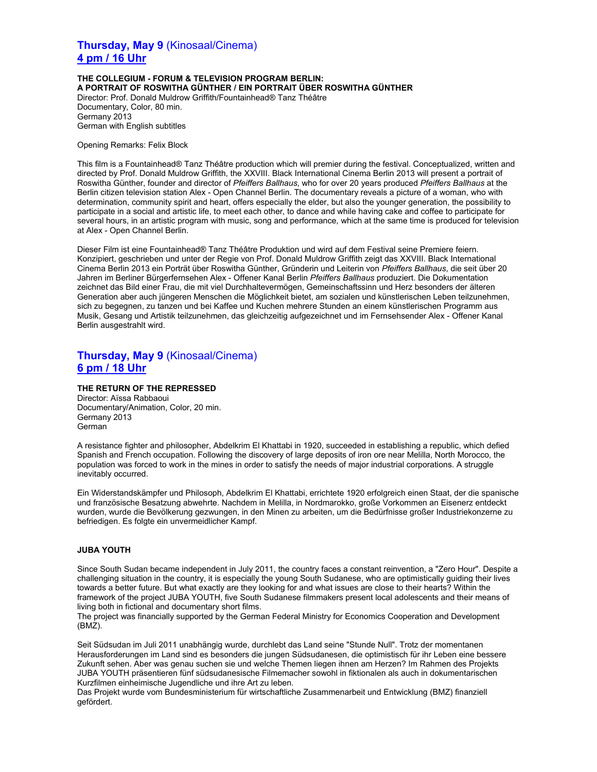# **Thursday, May 9** (Kinosaal/Cinema) **4 pm / 16 Uhr**

**THE COLLEGIUM - FORUM & TELEVISION PROGRAM BERLIN: A PORTRAIT OF ROSWITHA GÜNTHER / EIN PORTRAIT ÜBER ROSWITHA GÜNTHER**  Director: Prof. Donald Muldrow Griffith/Fountainhead® Tanz Théâtre Documentary, Color, 80 min. Germany 2013 German with English subtitles

Opening Remarks: Felix Block

This film is a Fountainhead® Tanz Théâtre production which will premier during the festival. Conceptualized, written and directed by Prof. Donald Muldrow Griffith, the XXVIII. Black International Cinema Berlin 2013 will present a portrait of Roswitha Günther, founder and director of *Pfeiffers Ballhaus*, who for over 20 years produced *Pfeiffers Ballhaus* at the Berlin citizen television station Alex - Open Channel Berlin. The documentary reveals a picture of a woman, who with determination, community spirit and heart, offers especially the elder, but also the younger generation, the possibility to participate in a social and artistic life, to meet each other, to dance and while having cake and coffee to participate for several hours, in an artistic program with music, song and performance, which at the same time is produced for television at Alex - Open Channel Berlin.

Dieser Film ist eine Fountainhead® Tanz Théâtre Produktion und wird auf dem Festival seine Premiere feiern. Konzipiert, geschrieben und unter der Regie von Prof. Donald Muldrow Griffith zeigt das XXVIII. Black International Cinema Berlin 2013 ein Porträt über Roswitha Günther, Gründerin und Leiterin von *Pfeiffers Ballhaus*, die seit über 20 Jahren im Berliner Bürgerfernsehen Alex - Offener Kanal Berlin *Pfeiffers Ballhaus* produziert. Die Dokumentation zeichnet das Bild einer Frau, die mit viel Durchhaltevermögen, Gemeinschaftssinn und Herz besonders der älteren Generation aber auch jüngeren Menschen die Möglichkeit bietet, am sozialen und künstlerischen Leben teilzunehmen, sich zu begegnen, zu tanzen und bei Kaffee und Kuchen mehrere Stunden an einem künstlerischen Programm aus Musik, Gesang und Artistik teilzunehmen, das gleichzeitig aufgezeichnet und im Fernsehsender Alex - Offener Kanal Berlin ausgestrahlt wird.

# **Thursday, May 9** (Kinosaal/Cinema) **6 pm / 18 Uhr**

### **THE RETURN OF THE REPRESSED**  Director: Aïssa Rabbaoui Documentary/Animation, Color, 20 min.

Germany 2013 German

A resistance fighter and philosopher, Abdelkrim El Khattabi in 1920, succeeded in establishing a republic, which defied Spanish and French occupation. Following the discovery of large deposits of iron ore near Melilla, North Morocco, the population was forced to work in the mines in order to satisfy the needs of major industrial corporations. A struggle inevitably occurred.

Ein Widerstandskämpfer und Philosoph, Abdelkrim El Khattabi, errichtete 1920 erfolgreich einen Staat, der die spanische und französische Besatzung abwehrte. Nachdem in Melilla, in Nordmarokko, große Vorkommen an Eisenerz entdeckt wurden, wurde die Bevölkerung gezwungen, in den Minen zu arbeiten, um die Bedürfnisse großer Industriekonzerne zu befriedigen. Es folgte ein unvermeidlicher Kampf.

### **JUBA YOUTH**

Since South Sudan became independent in July 2011, the country faces a constant reinvention, a "Zero Hour". Despite a challenging situation in the country, it is especially the young South Sudanese, who are optimistically guiding their lives towards a better future. But what exactly are they looking for and what issues are close to their hearts? Within the framework of the project JUBA YOUTH, five South Sudanese filmmakers present local adolescents and their means of living both in fictional and documentary short films.

The project was financially supported by the German Federal Ministry for Economics Cooperation and Development  $(BMZ)$ .

Seit Südsudan im Juli 2011 unabhängig wurde, durchlebt das Land seine "Stunde Null". Trotz der momentanen Herausforderungen im Land sind es besonders die jungen Südsudanesen, die optimistisch für ihr Leben eine bessere Zukunft sehen. Aber was genau suchen sie und welche Themen liegen ihnen am Herzen? Im Rahmen des Projekts JUBA YOUTH präsentieren fünf südsudanesische Filmemacher sowohl in fiktionalen als auch in dokumentarischen Kurzfilmen einheimische Jugendliche und ihre Art zu leben.

Das Projekt wurde vom Bundesministerium für wirtschaftliche Zusammenarbeit und Entwicklung (BMZ) finanziell gefördert.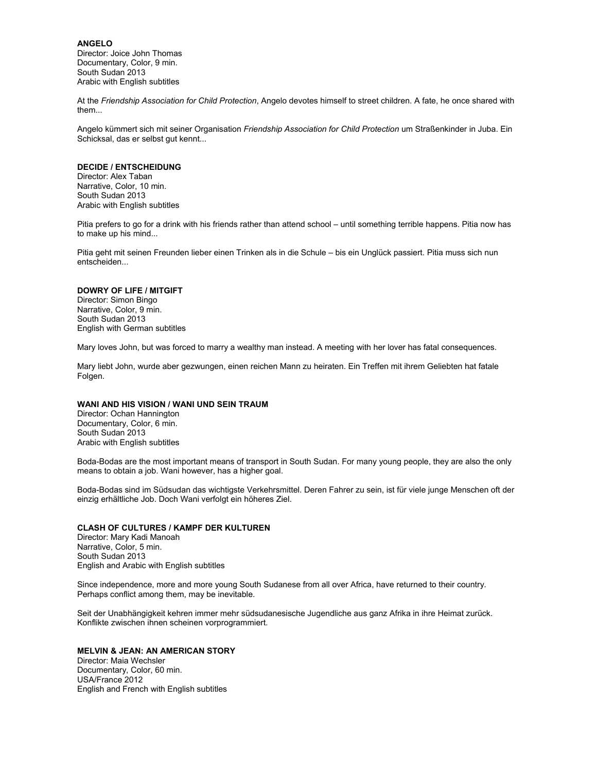**ANGELO**  Director: Joice John Thomas Documentary, Color, 9 min. South Sudan 2013 Arabic with English subtitles

At the *Friendship Association for Child Protection*, Angelo devotes himself to street children. A fate, he once shared with them...

Angelo kümmert sich mit seiner Organisation *Friendship Association for Child Protection* um Straßenkinder in Juba. Ein Schicksal, das er selbst gut kennt...

#### **DECIDE / ENTSCHEIDUNG**

Director: Alex Taban Narrative, Color, 10 min. South Sudan 2013 Arabic with English subtitles

Pitia prefers to go for a drink with his friends rather than attend school – until something terrible happens. Pitia now has to make up his mind...

Pitia geht mit seinen Freunden lieber einen Trinken als in die Schule – bis ein Unglück passiert. Pitia muss sich nun entscheiden...

### **DOWRY OF LIFE / MITGIFT**

Director: Simon Bingo Narrative, Color, 9 min. South Sudan 2013 English with German subtitles

Mary loves John, but was forced to marry a wealthy man instead. A meeting with her lover has fatal consequences.

Mary liebt John, wurde aber gezwungen, einen reichen Mann zu heiraten. Ein Treffen mit ihrem Geliebten hat fatale Folgen.

#### **WANI AND HIS VISION / WANI UND SEIN TRAUM**

Director: Ochan Hannington Documentary, Color, 6 min. South Sudan 2013 Arabic with English subtitles

Boda-Bodas are the most important means of transport in South Sudan. For many young people, they are also the only means to obtain a job. Wani however, has a higher goal.

Boda-Bodas sind im Südsudan das wichtigste Verkehrsmittel. Deren Fahrer zu sein, ist für viele junge Menschen oft der einzig erhältliche Job. Doch Wani verfolgt ein höheres Ziel.

### **CLASH OF CULTURES / KAMPF DER KULTUREN**

Director: Mary Kadi Manoah Narrative, Color, 5 min. South Sudan 2013 English and Arabic with English subtitles

Since independence, more and more young South Sudanese from all over Africa, have returned to their country. Perhaps conflict among them, may be inevitable.

Seit der Unabhängigkeit kehren immer mehr südsudanesische Jugendliche aus ganz Afrika in ihre Heimat zurück. Konflikte zwischen ihnen scheinen vorprogrammiert.

### **MELVIN & JEAN: AN AMERICAN STORY**

Director: Maia Wechsler Documentary, Color, 60 min. USA/France 2012 English and French with English subtitles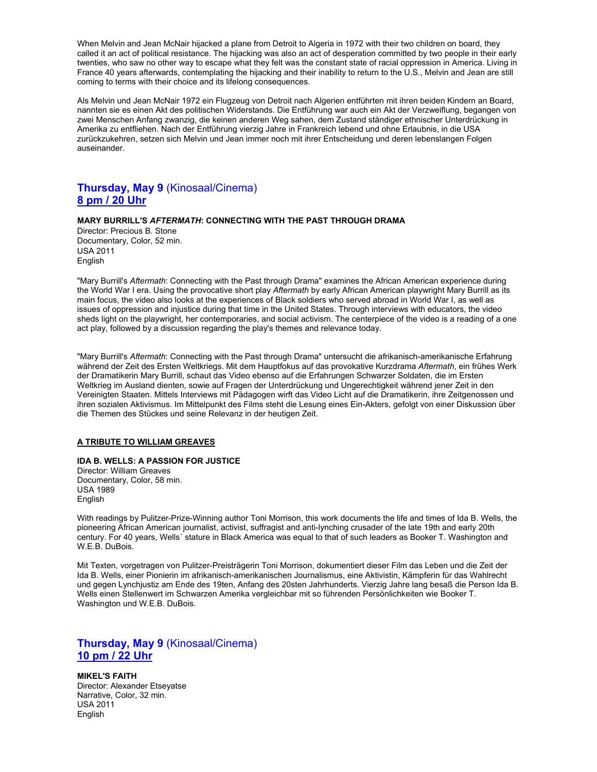When Melvin and Jean McNair hijacked a plane from Detroit to Algeria in 1972 with their two children on board, they called it an act of political resistance. The hijacking was also an act of desperation committed by two people in their early twenties, who saw no other way to escape what they felt was the constant state of racial oppression in America. Living in France 40 years afterwards, contemplating the hijacking and their inability to return to the U.S., Melvin and Jean are still coming to terms with their choice and its lifelong consequences.

Als Melvin und Jean McNair 1972 ein Flugzeug von Detroit nach Algerien entführten mit ihren beiden Kindern an Board, nannten sie es einen Akt des politischen Widerstands. Die Entführung war auch ein Akt der Verzweiflung, begangen von zwei Menschen Anfang zwanzig, die keinen anderen Weg sahen, dem Zustand ständiger ethnischer Unterdrückung in Amerika zu entfliehen. Nach der Entführung vierzig Jahre in Frankreich lebend und ohne Erlaubnis, in die USA zurückzukehren, setzen sich Melvin und Jean immer noch mit ihrer Entscheidung und deren lebenslangen Folgen auseinander.

# **Thursday, May 9** (Kinosaal/Cinema) **8 pm / 20 Uhr**

### **MARY BURRILL'S** *AFTERMATH***: CONNECTING WITH THE PAST THROUGH DRAMA**

Director: Precious B. Stone Documentary, Color, 52 min. USA 2011 English

"Mary Burrill's *Aftermath*: Connecting with the Past through Drama" examines the African American experience during the World War I era. Using the provocative short play *Aftermath* by early African American playwright Mary Burrill as its main focus, the video also looks at the experiences of Black soldiers who served abroad in World War I, as well as issues of oppression and injustice during that time in the United States. Through interviews with educators, the video sheds light on the playwright, her contemporaries, and social activism. The centerpiece of the video is a reading of a one act play, followed by a discussion regarding the play's themes and relevance today.

"Mary Burrill's *Aftermath*: Connecting with the Past through Drama" untersucht die afrikanisch-amerikanische Erfahrung während der Zeit des Ersten Weltkriegs. Mit dem Hauptfokus auf das provokative Kurzdrama *Aftermath*, ein frühes Werk der Dramatikerin Mary Burrill, schaut das Video ebenso auf die Erfahrungen Schwarzer Soldaten, die im Ersten Weltkrieg im Ausland dienten, sowie auf Fragen der Unterdrückung und Ungerechtigkeit während jener Zeit in den Vereinigten Staaten. Mittels Interviews mit Pädagogen wirft das Video Licht auf die Dramatikerin, ihre Zeitgenossen und ihren sozialen Aktivismus. Im Mittelpunkt des Films steht die Lesung eines Ein-Akters, gefolgt von einer Diskussion über die Themen des Stückes und seine Relevanz in der heutigen Zeit.

#### **A TRIBUTE TO WILLIAM GREAVES**

### **IDA B. WELLS: A PASSION FOR JUSTICE**

Director: William Greaves Documentary, Color, 58 min. USA 1989 English

With readings by Pulitzer-Prize-Winning author Toni Morrison, this work documents the life and times of Ida B. Wells, the pioneering African American journalist, activist, suffragist and anti-lynching crusader of the late 19th and early 20th century. For 40 years, Wells´ stature in Black America was equal to that of such leaders as Booker T. Washington and W.E.B. DuBois.

Mit Texten, vorgetragen von Pulitzer-Preisträgerin Toni Morrison, dokumentiert dieser Film das Leben und die Zeit der Ida B. Wells, einer Pionierin im afrikanisch-amerikanischen Journalismus, eine Aktivistin, Kämpferin für das Wahlrecht und gegen Lynchjustiz am Ende des 19ten, Anfang des 20sten Jahrhunderts. Vierzig Jahre lang besaß die Person Ida B. Wells einen Stellenwert im Schwarzen Amerika vergleichbar mit so führenden Persönlichkeiten wie Booker T. Washington und W.E.B. DuBois.

# **Thursday, May 9** (Kinosaal/Cinema) **10 pm / 22 Uhr**

**MIKEL'S FAITH**  Director: Alexander Etseyatse Narrative, Color, 32 min. USA 2011 English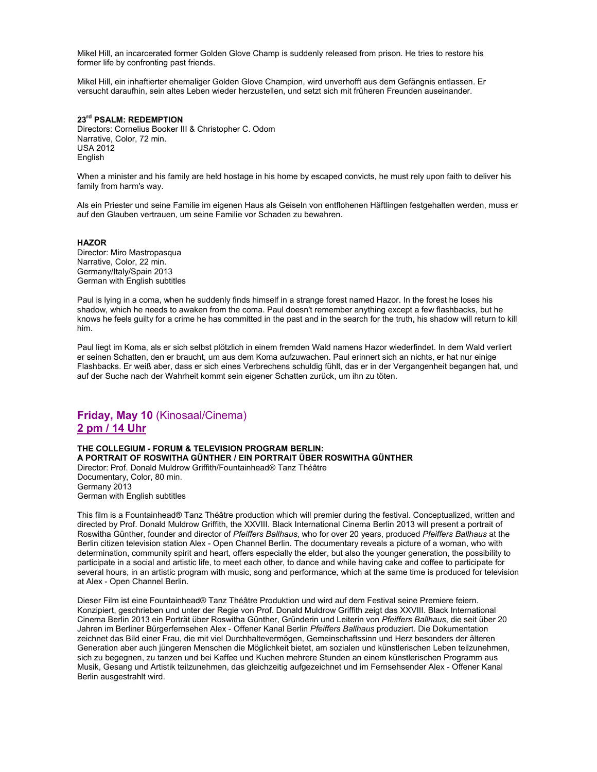Mikel Hill, an incarcerated former Golden Glove Champ is suddenly released from prison. He tries to restore his former life by confronting past friends.

Mikel Hill, ein inhaftierter ehemaliger Golden Glove Champion, wird unverhofft aus dem Gefängnis entlassen. Er versucht daraufhin, sein altes Leben wieder herzustellen, und setzt sich mit früheren Freunden auseinander.

### **23rd PSALM: REDEMPTION**

Directors: Cornelius Booker III & Christopher C. Odom Narrative, Color, 72 min. USA 2012 English

When a minister and his family are held hostage in his home by escaped convicts, he must rely upon faith to deliver his family from harm's way.

Als ein Priester und seine Familie im eigenen Haus als Geiseln von entflohenen Häftlingen festgehalten werden, muss er auf den Glauben vertrauen, um seine Familie vor Schaden zu bewahren.

#### **HAZOR**

Director: Miro Mastropasqua Narrative, Color, 22 min. Germany/Italy/Spain 2013 German with English subtitles

Paul is lying in a coma, when he suddenly finds himself in a strange forest named Hazor. In the forest he loses his shadow, which he needs to awaken from the coma. Paul doesn't remember anything except a few flashbacks, but he knows he feels guilty for a crime he has committed in the past and in the search for the truth, his shadow will return to kill him.

Paul liegt im Koma, als er sich selbst plötzlich in einem fremden Wald namens Hazor wiederfindet. In dem Wald verliert er seinen Schatten, den er braucht, um aus dem Koma aufzuwachen. Paul erinnert sich an nichts, er hat nur einige Flashbacks. Er weiß aber, dass er sich eines Verbrechens schuldig fühlt, das er in der Vergangenheit begangen hat, und auf der Suche nach der Wahrheit kommt sein eigener Schatten zurück, um ihn zu töten.

# **Friday, May 10** (Kinosaal/Cinema) **2 pm / 14 Uhr**

**THE COLLEGIUM - FORUM & TELEVISION PROGRAM BERLIN: A PORTRAIT OF ROSWITHA GÜNTHER / EIN PORTRAIT ÜBER ROSWITHA GÜNTHER**  Director: Prof. Donald Muldrow Griffith/Fountainhead® Tanz Théâtre Documentary, Color, 80 min. Germany 2013 German with English subtitles

This film is a Fountainhead® Tanz Théâtre production which will premier during the festival. Conceptualized, written and directed by Prof. Donald Muldrow Griffith, the XXVIII. Black International Cinema Berlin 2013 will present a portrait of Roswitha Günther, founder and director of *Pfeiffers Ballhaus*, who for over 20 years, produced *Pfeiffers Ballhaus* at the Berlin citizen television station Alex - Open Channel Berlin. The documentary reveals a picture of a woman, who with determination, community spirit and heart, offers especially the elder, but also the younger generation, the possibility to participate in a social and artistic life, to meet each other, to dance and while having cake and coffee to participate for several hours, in an artistic program with music, song and performance, which at the same time is produced for television at Alex - Open Channel Berlin.

Dieser Film ist eine Fountainhead® Tanz Théâtre Produktion und wird auf dem Festival seine Premiere feiern. Konzipiert, geschrieben und unter der Regie von Prof. Donald Muldrow Griffith zeigt das XXVIII. Black International Cinema Berlin 2013 ein Porträt über Roswitha Günther, Gründerin und Leiterin von *Pfeiffers Ballhaus*, die seit über 20 Jahren im Berliner Bürgerfernsehen Alex - Offener Kanal Berlin *Pfeiffers Ballhaus* produziert. Die Dokumentation zeichnet das Bild einer Frau, die mit viel Durchhaltevermögen, Gemeinschaftssinn und Herz besonders der älteren Generation aber auch jüngeren Menschen die Möglichkeit bietet, am sozialen und künstlerischen Leben teilzunehmen, sich zu begegnen, zu tanzen und bei Kaffee und Kuchen mehrere Stunden an einem künstlerischen Programm aus Musik, Gesang und Artistik teilzunehmen, das gleichzeitig aufgezeichnet und im Fernsehsender Alex - Offener Kanal Berlin ausgestrahlt wird.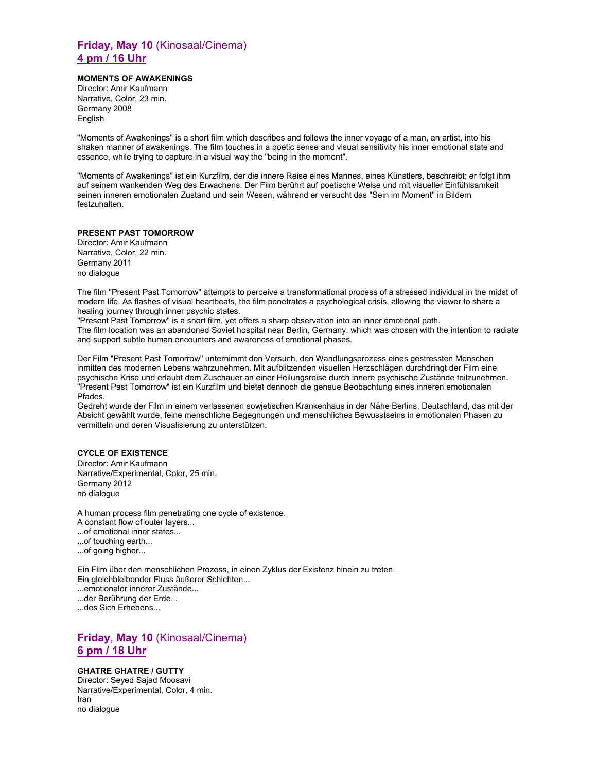# **Friday, May 10** (Kinosaal/Cinema) **4 pm / 16 Uhr**

### **MOMENTS OF AWAKENINGS**

Director: Amir Kaufmann Narrative, Color, 23 min. Germany 2008 English

"Moments of Awakenings" is a short film which describes and follows the inner voyage of a man, an artist, into his shaken manner of awakenings. The film touches in a poetic sense and visual sensitivity his inner emotional state and essence, while trying to capture in a visual way the "being in the moment".

"Moments of Awakenings" ist ein Kurzfilm, der die innere Reise eines Mannes, eines Künstlers, beschreibt; er folgt ihm auf seinem wankenden Weg des Erwachens. Der Film berührt auf poetische Weise und mit visueller Einfühlsamkeit seinen inneren emotionalen Zustand und sein Wesen, während er versucht das "Sein im Moment" in Bildern festzuhalten.

### **PRESENT PAST TOMORROW**

Director: Amir Kaufmann Narrative, Color, 22 min. Germany 2011 no dialogue

The film "Present Past Tomorrow" attempts to perceive a transformational process of a stressed individual in the midst of modern life. As flashes of visual heartbeats, the film penetrates a psychological crisis, allowing the viewer to share a healing journey through inner psychic states.

"Present Past Tomorrow" is a short film, yet offers a sharp observation into an inner emotional path. The film location was an abandoned Soviet hospital near Berlin, Germany, which was chosen with the intention to radiate and support subtle human encounters and awareness of emotional phases.

Der Film "Present Past Tomorrow" unternimmt den Versuch, den Wandlungsprozess eines gestressten Menschen inmitten des modernen Lebens wahrzunehmen. Mit aufblitzenden visuellen Herzschlägen durchdringt der Film eine psychische Krise und erlaubt dem Zuschauer an einer Heilungsreise durch innere psychische Zustände teilzunehmen. "Present Past Tomorrow" ist ein Kurzfilm und bietet dennoch die genaue Beobachtung eines inneren emotionalen Pfades.

Gedreht wurde der Film in einem verlassenen sowjetischen Krankenhaus in der Nähe Berlins, Deutschland, das mit der Absicht gewählt wurde, feine menschliche Begegnungen und menschliches Bewusstseins in emotionalen Phasen zu vermitteln und deren Visualisierung zu unterstützen.

### **CYCLE OF EXISTENCE**

Director: Amir Kaufmann Narrative/Experimental, Color, 25 min. Germany 2012 no dialogue

A human process film penetrating one cycle of existence.

- A constant flow of outer layers...
- ...of emotional inner states...
- ...of touching earth...
- ...of going higher...

Ein Film über den menschlichen Prozess, in einen Zyklus der Existenz hinein zu treten. Ein gleichbleibender Fluss äußerer Schichten...

- ...emotionaler innerer Zustände...
- ...der Berührung der Erde...

...des Sich Erhebens...

# **Friday, May 10** (Kinosaal/Cinema) **6 pm / 18 Uhr**

### **GHATRE GHATRE / GUTTY**

Director: Seyed Sajad Moosavi Narrative/Experimental, Color, 4 min. Iran no dialogue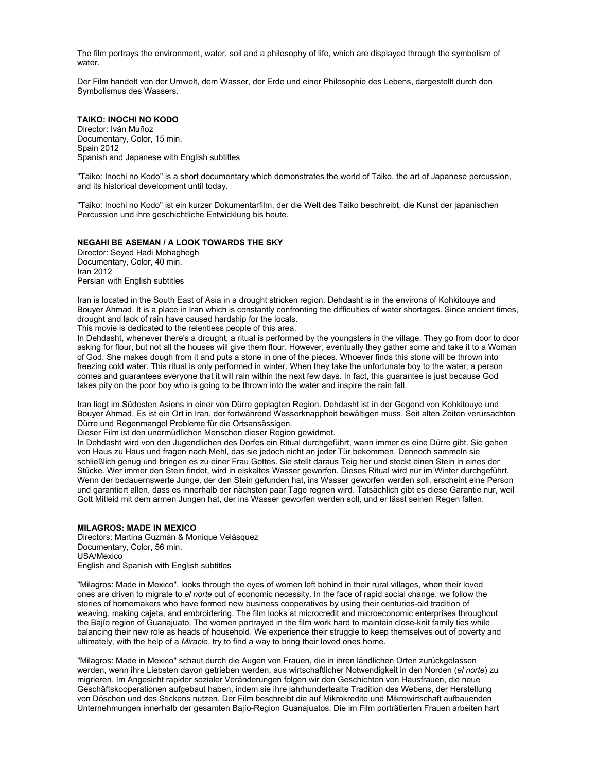The film portrays the environment, water, soil and a philosophy of life, which are displayed through the symbolism of water.

Der Film handelt von der Umwelt, dem Wasser, der Erde und einer Philosophie des Lebens, dargestellt durch den Symbolismus des Wassers.

#### **TAIKO: INOCHI NO KODO**

Director: Iván Muñoz Documentary, Color, 15 min. Spain 2012 Spanish and Japanese with English subtitles

"Taiko: Inochi no Kodo" is a short documentary which demonstrates the world of Taiko, the art of Japanese percussion, and its historical development until today.

"Taiko: Inochi no Kodo" ist ein kurzer Dokumentarfilm, der die Welt des Taiko beschreibt, die Kunst der japanischen Percussion und ihre geschichtliche Entwicklung bis heute.

### **NEGAHI BE ASEMAN / A LOOK TOWARDS THE SKY**

Director: Seyed Hadi Mohaghegh Documentary, Color, 40 min. Iran 2012 Persian with English subtitles

Iran is located in the South East of Asia in a drought stricken region. Dehdasht is in the environs of Kohkitouye and Bouyer Ahmad. It is a place in Iran which is constantly confronting the difficulties of water shortages. Since ancient times, drought and lack of rain have caused hardship for the locals.

This movie is dedicated to the relentless people of this area.

In Dehdasht, whenever there's a drought, a ritual is performed by the youngsters in the village. They go from door to door asking for flour, but not all the houses will give them flour. However, eventually they gather some and take it to a Woman of God. She makes dough from it and puts a stone in one of the pieces. Whoever finds this stone will be thrown into freezing cold water. This ritual is only performed in winter. When they take the unfortunate boy to the water, a person comes and guarantees everyone that it will rain within the next few days. In fact, this guarantee is just because God takes pity on the poor boy who is going to be thrown into the water and inspire the rain fall.

Iran liegt im Südosten Asiens in einer von Dürre geplagten Region. Dehdasht ist in der Gegend von Kohkitouye und Bouyer Ahmad. Es ist ein Ort in Iran, der fortwährend Wasserknappheit bewältigen muss. Seit alten Zeiten verursachten Dürre und Regenmangel Probleme für die Ortsansässigen.

Dieser Film ist den unermüdlichen Menschen dieser Region gewidmet.

In Dehdasht wird von den Jugendlichen des Dorfes ein Ritual durchgeführt, wann immer es eine Dürre gibt. Sie gehen von Haus zu Haus und fragen nach Mehl, das sie jedoch nicht an jeder Tür bekommen. Dennoch sammeln sie schließlich genug und bringen es zu einer Frau Gottes. Sie stellt daraus Teig her und steckt einen Stein in eines der Stücke. Wer immer den Stein findet, wird in eiskaltes Wasser geworfen. Dieses Ritual wird nur im Winter durchgeführt. Wenn der bedauernswerte Junge, der den Stein gefunden hat, ins Wasser geworfen werden soll, erscheint eine Person und garantiert allen, dass es innerhalb der nächsten paar Tage regnen wird. Tatsächlich gibt es diese Garantie nur, weil Gott Mitleid mit dem armen Jungen hat, der ins Wasser geworfen werden soll, und er lässt seinen Regen fallen.

### **MILAGROS: MADE IN MEXICO**

Directors: Martina Guzmán & Monique Velásquez Documentary, Color, 56 min. USA/Mexico English and Spanish with English subtitles

"Milagros: Made in Mexico", looks through the eyes of women left behind in their rural villages, when their loved ones are driven to migrate to *el norte* out of economic necessity. In the face of rapid social change, we follow the stories of homemakers who have formed new business cooperatives by using their centuries-old tradition of weaving, making cajeta, and embroidering. The film looks at microcredit and microeconomic enterprises throughout the Bajío region of Guanajuato. The women portrayed in the film work hard to maintain close-knit family ties while balancing their new role as heads of household. We experience their struggle to keep themselves out of poverty and ultimately, with the help of a *Miracle*, try to find a way to bring their loved ones home.

"Milagros: Made in Mexico" schaut durch die Augen von Frauen, die in ihren ländlichen Orten zurückgelassen werden, wenn ihre Liebsten davon getrieben werden, aus wirtschaftlicher Notwendigkeit in den Norden (*el norte*) zu migrieren. Im Angesicht rapider sozialer Veränderungen folgen wir den Geschichten von Hausfrauen, die neue Geschäftskooperationen aufgebaut haben, indem sie ihre jahrhundertealte Tradition des Webens, der Herstellung von Döschen und des Stickens nutzen. Der Film beschreibt die auf Mikrokredite und Mikrowirtschaft aufbauenden Unternehmungen innerhalb der gesamten Bajío-Region Guanajuatos. Die im Film porträtierten Frauen arbeiten hart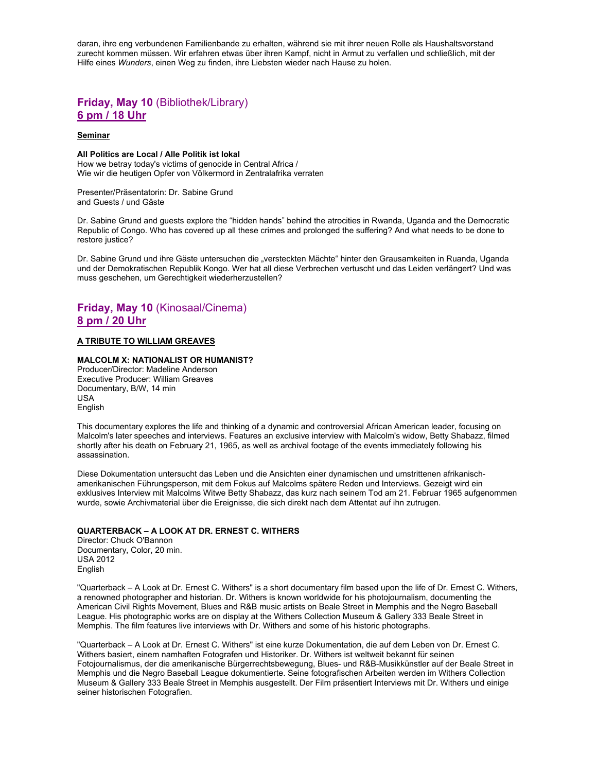daran, ihre eng verbundenen Familienbande zu erhalten, während sie mit ihrer neuen Rolle als Haushaltsvorstand zurecht kommen müssen. Wir erfahren etwas über ihren Kampf, nicht in Armut zu verfallen und schließlich, mit der Hilfe eines *Wunders*, einen Weg zu finden, ihre Liebsten wieder nach Hause zu holen.

# **Friday, May 10** (Bibliothek/Library) **6 pm / 18 Uhr**

#### **Seminar**

### **All Politics are Local / Alle Politik ist lokal**

How we betray today's victims of genocide in Central Africa / Wie wir die heutigen Opfer von Völkermord in Zentralafrika verraten

#### Presenter/Präsentatorin: Dr. Sabine Grund and Guests / und Gäste

Dr. Sabine Grund and guests explore the "hidden hands" behind the atrocities in Rwanda, Uganda and the Democratic Republic of Congo. Who has covered up all these crimes and prolonged the suffering? And what needs to be done to restore justice?

Dr. Sabine Grund und ihre Gäste untersuchen die "versteckten Mächte" hinter den Grausamkeiten in Ruanda, Uganda und der Demokratischen Republik Kongo. Wer hat all diese Verbrechen vertuscht und das Leiden verlängert? Und was muss geschehen, um Gerechtigkeit wiederherzustellen?

# **Friday, May 10** (Kinosaal/Cinema) **8 pm / 20 Uhr**

### **A TRIBUTE TO WILLIAM GREAVES**

### **MALCOLM X: NATIONALIST OR HUMANIST?**

Producer/Director: Madeline Anderson Executive Producer: William Greaves Documentary, B/W, 14 min USA English

This documentary explores the life and thinking of a dynamic and controversial African American leader, focusing on Malcolm's later speeches and interviews. Features an exclusive interview with Malcolm's widow, Betty Shabazz, filmed shortly after his death on February 21, 1965, as well as archival footage of the events immediately following his assassination.

Diese Dokumentation untersucht das Leben und die Ansichten einer dynamischen und umstrittenen afrikanischamerikanischen Führungsperson, mit dem Fokus auf Malcolms spätere Reden und Interviews. Gezeigt wird ein exklusives Interview mit Malcolms Witwe Betty Shabazz, das kurz nach seinem Tod am 21. Februar 1965 aufgenommen wurde, sowie Archivmaterial über die Ereignisse, die sich direkt nach dem Attentat auf ihn zutrugen.

#### **QUARTERBACK – A LOOK AT DR. ERNEST C. WITHERS**

Director: Chuck O'Bannon Documentary, Color, 20 min. USA 2012 English

"Quarterback – A Look at Dr. Ernest C. Withers" is a short documentary film based upon the life of Dr. Ernest C. Withers, a renowned photographer and historian. Dr. Withers is known worldwide for his photojournalism, documenting the American Civil Rights Movement, Blues and R&B music artists on Beale Street in Memphis and the Negro Baseball League. His photographic works are on display at the Withers Collection Museum & Gallery 333 Beale Street in Memphis. The film features live interviews with Dr. Withers and some of his historic photographs.

"Quarterback – A Look at Dr. Ernest C. Withers" ist eine kurze Dokumentation, die auf dem Leben von Dr. Ernest C. Withers basiert, einem namhaften Fotografen und Historiker. Dr. Withers ist weltweit bekannt für seinen Fotojournalismus, der die amerikanische Bürgerrechtsbewegung, Blues- und R&B-Musikkünstler auf der Beale Street in Memphis und die Negro Baseball League dokumentierte. Seine fotografischen Arbeiten werden im Withers Collection Museum & Gallery 333 Beale Street in Memphis ausgestellt. Der Film präsentiert Interviews mit Dr. Withers und einige seiner historischen Fotografien.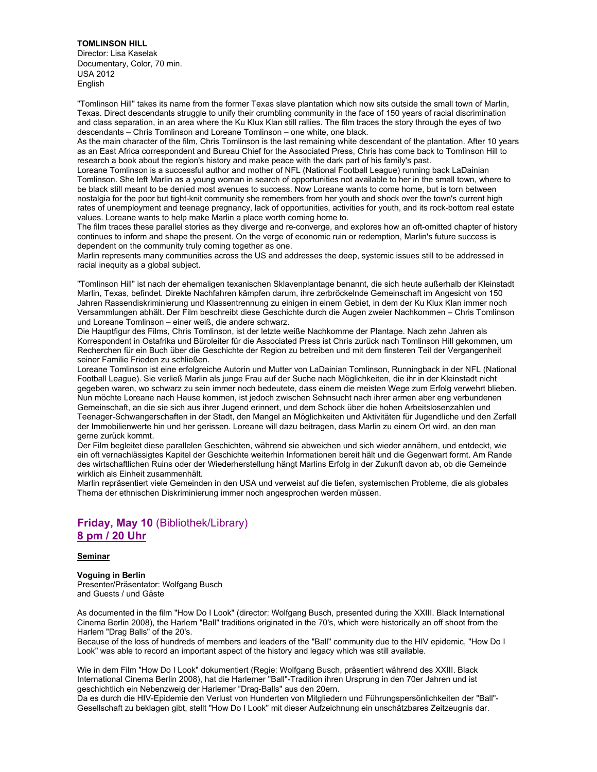#### **TOMLINSON HILL**

Director: Lisa Kaselak Documentary, Color, 70 min. USA 2012 English

"Tomlinson Hill" takes its name from the former Texas slave plantation which now sits outside the small town of Marlin, Texas. Direct descendants struggle to unify their crumbling community in the face of 150 years of racial discrimination and class separation, in an area where the Ku Klux Klan still rallies. The film traces the story through the eyes of two descendants – Chris Tomlinson and Loreane Tomlinson – one white, one black.

As the main character of the film, Chris Tomlinson is the last remaining white descendant of the plantation. After 10 years as an East Africa correspondent and Bureau Chief for the Associated Press, Chris has come back to Tomlinson Hill to research a book about the region's history and make peace with the dark part of his family's past.

Loreane Tomlinson is a successful author and mother of NFL (National Football League) running back LaDainian Tomlinson. She left Marlin as a young woman in search of opportunities not available to her in the small town, where to be black still meant to be denied most avenues to success. Now Loreane wants to come home, but is torn between nostalgia for the poor but tight-knit community she remembers from her youth and shock over the town's current high rates of unemployment and teenage pregnancy, lack of opportunities, activities for youth, and its rock-bottom real estate values. Loreane wants to help make Marlin a place worth coming home to.

The film traces these parallel stories as they diverge and re-converge, and explores how an oft-omitted chapter of history continues to inform and shape the present. On the verge of economic ruin or redemption, Marlin's future success is dependent on the community truly coming together as one.

Marlin represents many communities across the US and addresses the deep, systemic issues still to be addressed in racial inequity as a global subject.

"Tomlinson Hill" ist nach der ehemaligen texanischen Sklavenplantage benannt, die sich heute außerhalb der Kleinstadt Marlin, Texas, befindet. Direkte Nachfahren kämpfen darum, ihre zerbröckelnde Gemeinschaft im Angesicht von 150 Jahren Rassendiskriminierung und Klassentrennung zu einigen in einem Gebiet, in dem der Ku Klux Klan immer noch Versammlungen abhält. Der Film beschreibt diese Geschichte durch die Augen zweier Nachkommen – Chris Tomlinson und Loreane Tomlinson – einer weiß, die andere schwarz.

Die Hauptfigur des Films, Chris Tomlinson, ist der letzte weiße Nachkomme der Plantage. Nach zehn Jahren als Korrespondent in Ostafrika und Büroleiter für die Associated Press ist Chris zurück nach Tomlinson Hill gekommen, um Recherchen für ein Buch über die Geschichte der Region zu betreiben und mit dem finsteren Teil der Vergangenheit seiner Familie Frieden zu schließen.

Loreane Tomlinson ist eine erfolgreiche Autorin und Mutter von LaDainian Tomlinson, Runningback in der NFL (National Football League). Sie verließ Marlin als junge Frau auf der Suche nach Möglichkeiten, die ihr in der Kleinstadt nicht gegeben waren, wo schwarz zu sein immer noch bedeutete, dass einem die meisten Wege zum Erfolg verwehrt blieben. Nun möchte Loreane nach Hause kommen, ist jedoch zwischen Sehnsucht nach ihrer armen aber eng verbundenen Gemeinschaft, an die sie sich aus ihrer Jugend erinnert, und dem Schock über die hohen Arbeitslosenzahlen und Teenager-Schwangerschaften in der Stadt, den Mangel an Möglichkeiten und Aktivitäten für Jugendliche und den Zerfall der Immobilienwerte hin und her gerissen. Loreane will dazu beitragen, dass Marlin zu einem Ort wird, an den man gerne zurück kommt.

Der Film begleitet diese parallelen Geschichten, während sie abweichen und sich wieder annähern, und entdeckt, wie ein oft vernachlässigtes Kapitel der Geschichte weiterhin Informationen bereit hält und die Gegenwart formt. Am Rande des wirtschaftlichen Ruins oder der Wiederherstellung hängt Marlins Erfolg in der Zukunft davon ab, ob die Gemeinde wirklich als Einheit zusammenhält.

Marlin repräsentiert viele Gemeinden in den USA und verweist auf die tiefen, systemischen Probleme, die als globales Thema der ethnischen Diskriminierung immer noch angesprochen werden müssen.

# **Friday, May 10** (Bibliothek/Library) **8 pm / 20 Uhr**

### **Seminar**

**Voguing in Berlin**  Presenter/Präsentator: Wolfgang Busch and Guests / und Gäste

As documented in the film "How Do I Look" (director: Wolfgang Busch, presented during the XXIII. Black International Cinema Berlin 2008), the Harlem "Ball" traditions originated in the 70's, which were historically an off shoot from the Harlem "Drag Balls" of the 20's.

Because of the loss of hundreds of members and leaders of the "Ball" community due to the HIV epidemic, "How Do I Look" was able to record an important aspect of the history and legacy which was still available.

Wie in dem Film "How Do I Look" dokumentiert (Regie: Wolfgang Busch, präsentiert während des XXIII. Black International Cinema Berlin 2008), hat die Harlemer "Ball"-Tradition ihren Ursprung in den 70er Jahren und ist geschichtlich ein Nebenzweig der Harlemer "Drag-Balls" aus den 20ern.

Da es durch die HIV-Epidemie den Verlust von Hunderten von Mitgliedern und Führungspersönlichkeiten der "Ball"- Gesellschaft zu beklagen gibt, stellt "How Do I Look" mit dieser Aufzeichnung ein unschätzbares Zeitzeugnis dar.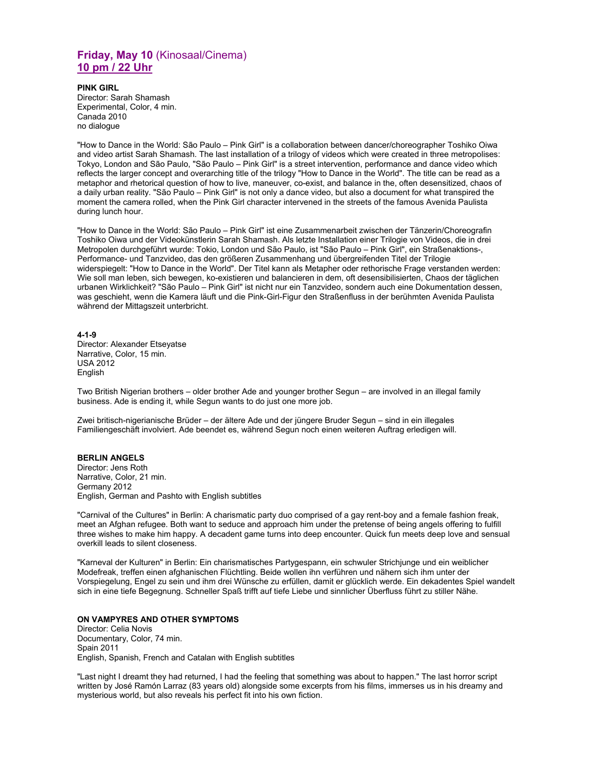## **Friday, May 10** (Kinosaal/Cinema) **10 pm / 22 Uhr**

**PINK GIRL**  Director: Sarah Shamash Experimental, Color, 4 min. Canada 2010 no dialogue

"How to Dance in the World: São Paulo – Pink Girl" is a collaboration between dancer/choreographer Toshiko Oiwa and video artist Sarah Shamash. The last installation of a trilogy of videos which were created in three metropolises: Tokyo, London and São Paulo, "São Paulo – Pink Girl" is a street intervention, performance and dance video which reflects the larger concept and overarching title of the trilogy "How to Dance in the World". The title can be read as a metaphor and rhetorical question of how to live, maneuver, co-exist, and balance in the, often desensitized, chaos of a daily urban reality. "São Paulo – Pink Girl" is not only a dance video, but also a document for what transpired the moment the camera rolled, when the Pink Girl character intervened in the streets of the famous Avenida Paulista during lunch hour.

"How to Dance in the World: São Paulo – Pink Girl" ist eine Zusammenarbeit zwischen der Tänzerin/Choreografin Toshiko Oiwa und der Videokünstlerin Sarah Shamash. Als letzte Installation einer Trilogie von Videos, die in drei Metropolen durchgeführt wurde: Tokio, London und São Paulo, ist "São Paulo – Pink Girl", ein Straßenaktions-, Performance- und Tanzvideo, das den größeren Zusammenhang und übergreifenden Titel der Trilogie widerspiegelt: "How to Dance in the World". Der Titel kann als Metapher oder rethorische Frage verstanden werden: Wie soll man leben, sich bewegen, ko-existieren und balancieren in dem, oft desensibilisierten, Chaos der täglichen urbanen Wirklichkeit? "São Paulo – Pink Girl" ist nicht nur ein Tanzvideo, sondern auch eine Dokumentation dessen, was geschieht, wenn die Kamera läuft und die Pink-Girl-Figur den Straßenfluss in der berühmten Avenida Paulista während der Mittagszeit unterbricht.

**4-1-9**  Director: Alexander Etseyatse Narrative, Color, 15 min. USA 2012 English

Two British Nigerian brothers – older brother Ade and younger brother Segun – are involved in an illegal family business. Ade is ending it, while Segun wants to do just one more job.

Zwei britisch-nigerianische Brüder – der ältere Ade und der jüngere Bruder Segun – sind in ein illegales Familiengeschäft involviert. Ade beendet es, während Segun noch einen weiteren Auftrag erledigen will.

### **BERLIN ANGELS**

Director: Jens Roth Narrative, Color, 21 min. Germany 2012 English, German and Pashto with English subtitles

"Carnival of the Cultures" in Berlin: A charismatic party duo comprised of a gay rent-boy and a female fashion freak, meet an Afghan refugee. Both want to seduce and approach him under the pretense of being angels offering to fulfill three wishes to make him happy. A decadent game turns into deep encounter. Quick fun meets deep love and sensual overkill leads to silent closeness.

"Karneval der Kulturen" in Berlin: Ein charismatisches Partygespann, ein schwuler Strichjunge und ein weiblicher Modefreak, treffen einen afghanischen Flüchtling. Beide wollen ihn verführen und nähern sich ihm unter der Vorspiegelung, Engel zu sein und ihm drei Wünsche zu erfüllen, damit er glücklich werde. Ein dekadentes Spiel wandelt sich in eine tiefe Begegnung. Schneller Spaß trifft auf tiefe Liebe und sinnlicher Überfluss führt zu stiller Nähe.

### **ON VAMPYRES AND OTHER SYMPTOMS**

Director: Celia Novis Documentary, Color, 74 min. Spain 2011 English, Spanish, French and Catalan with English subtitles

"Last night I dreamt they had returned, I had the feeling that something was about to happen." The last horror script written by José Ramón Larraz (83 years old) alongside some excerpts from his films, immerses us in his dreamy and mysterious world, but also reveals his perfect fit into his own fiction.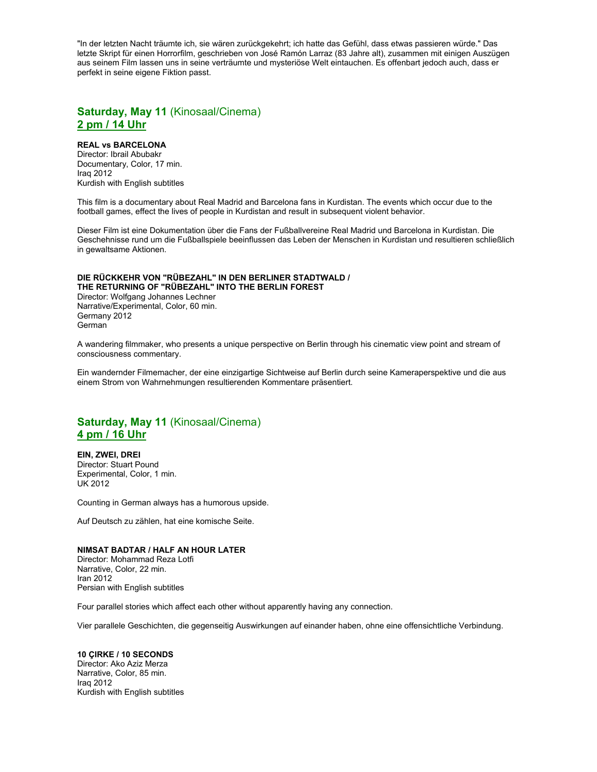"In der letzten Nacht träumte ich, sie wären zurückgekehrt; ich hatte das Gefühl, dass etwas passieren würde." Das letzte Skript für einen Horrorfilm, geschrieben von José Ramón Larraz (83 Jahre alt), zusammen mit einigen Auszügen aus seinem Film lassen uns in seine verträumte und mysteriöse Welt eintauchen. Es offenbart jedoch auch, dass er perfekt in seine eigene Fiktion passt.

### **Saturday, May 11** (Kinosaal/Cinema) **2 pm / 14 Uhr**

### **REAL vs BARCELONA**

Director: Ibrail Abubakr Documentary, Color, 17 min. Iraq 2012 Kurdish with English subtitles

This film is a documentary about Real Madrid and Barcelona fans in Kurdistan. The events which occur due to the football games, effect the lives of people in Kurdistan and result in subsequent violent behavior.

Dieser Film ist eine Dokumentation über die Fans der Fußballvereine Real Madrid und Barcelona in Kurdistan. Die Geschehnisse rund um die Fußballspiele beeinflussen das Leben der Menschen in Kurdistan und resultieren schließlich in gewaltsame Aktionen.

#### **DIE RÜCKKEHR VON "RÜBEZAHL" IN DEN BERLINER STADTWALD / THE RETURNING OF "RÜBEZAHL" INTO THE BERLIN FOREST**

Director: Wolfgang Johannes Lechner Narrative/Experimental, Color, 60 min. Germany 2012 German

A wandering filmmaker, who presents a unique perspective on Berlin through his cinematic view point and stream of consciousness commentary.

Ein wandernder Filmemacher, der eine einzigartige Sichtweise auf Berlin durch seine Kameraperspektive und die aus einem Strom von Wahrnehmungen resultierenden Kommentare präsentiert.

# **Saturday, May 11** (Kinosaal/Cinema) **4 pm / 16 Uhr**

**EIN, ZWEI, DREI**  Director: Stuart Pound Experimental, Color, 1 min. UK 2012

Counting in German always has a humorous upside.

Auf Deutsch zu zählen, hat eine komische Seite.

### **NIMSAT BADTAR / HALF AN HOUR LATER**

Director: Mohammad Reza Lotfi Narrative, Color, 22 min. Iran 2012 Persian with English subtitles

Four parallel stories which affect each other without apparently having any connection.

Vier parallele Geschichten, die gegenseitig Auswirkungen auf einander haben, ohne eine offensichtliche Verbindung.

### **10 ÇIRKE / 10 SECONDS**

Director: Ako Aziz Merza Narrative, Color, 85 min. Iraq 2012 Kurdish with English subtitles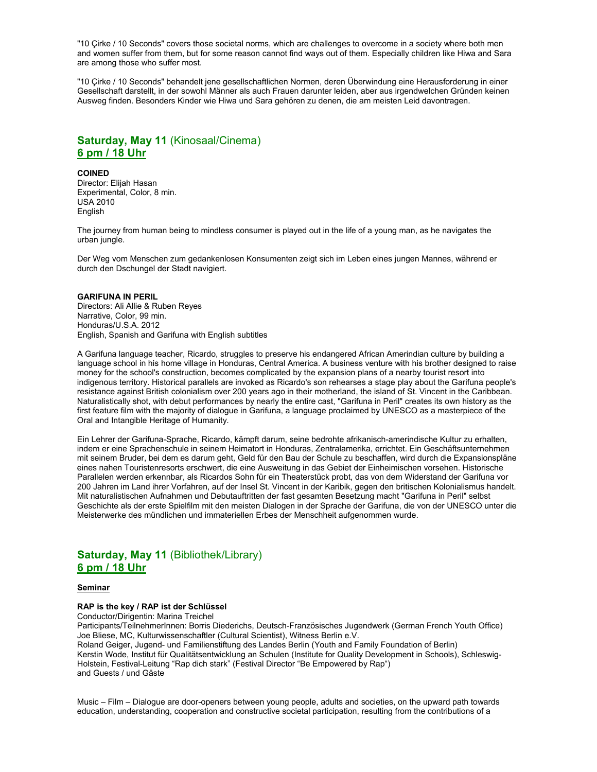"10 Çirke / 10 Seconds" covers those societal norms, which are challenges to overcome in a society where both men and women suffer from them, but for some reason cannot find ways out of them. Especially children like Hiwa and Sara are among those who suffer most.

"10 Çirke / 10 Seconds" behandelt jene gesellschaftlichen Normen, deren Überwindung eine Herausforderung in einer Gesellschaft darstellt, in der sowohl Männer als auch Frauen darunter leiden, aber aus irgendwelchen Gründen keinen Ausweg finden. Besonders Kinder wie Hiwa und Sara gehören zu denen, die am meisten Leid davontragen.

# **Saturday, May 11** (Kinosaal/Cinema) **6 pm / 18 Uhr**

#### **COINED**

Director: Elijah Hasan Experimental, Color, 8 min. USA 2010 **English** 

The journey from human being to mindless consumer is played out in the life of a young man, as he navigates the urban jungle.

Der Weg vom Menschen zum gedankenlosen Konsumenten zeigt sich im Leben eines jungen Mannes, während er durch den Dschungel der Stadt navigiert.

#### **GARIFUNA IN PERIL**

Directors: Ali Allie & Ruben Reyes Narrative, Color, 99 min. Honduras/U.S.A. 2012 English, Spanish and Garifuna with English subtitles

A Garifuna language teacher, Ricardo, struggles to preserve his endangered African Amerindian culture by building a language school in his home village in Honduras, Central America. A business venture with his brother designed to raise money for the school's construction, becomes complicated by the expansion plans of a nearby tourist resort into indigenous territory. Historical parallels are invoked as Ricardo's son rehearses a stage play about the Garifuna people's resistance against British colonialism over 200 years ago in their motherland, the island of St. Vincent in the Caribbean. Naturalistically shot, with debut performances by nearly the entire cast, "Garifuna in Peril" creates its own history as the first feature film with the majority of dialogue in Garifuna, a language proclaimed by UNESCO as a masterpiece of the Oral and Intangible Heritage of Humanity.

Ein Lehrer der Garifuna-Sprache, Ricardo, kämpft darum, seine bedrohte afrikanisch-amerindische Kultur zu erhalten, indem er eine Sprachenschule in seinem Heimatort in Honduras, Zentralamerika, errichtet. Ein Geschäftsunternehmen mit seinem Bruder, bei dem es darum geht, Geld für den Bau der Schule zu beschaffen, wird durch die Expansionspläne eines nahen Touristenresorts erschwert, die eine Ausweitung in das Gebiet der Einheimischen vorsehen. Historische Parallelen werden erkennbar, als Ricardos Sohn für ein Theaterstück probt, das von dem Widerstand der Garifuna vor 200 Jahren im Land ihrer Vorfahren, auf der Insel St. Vincent in der Karibik, gegen den britischen Kolonialismus handelt. Mit naturalistischen Aufnahmen und Debutauftritten der fast gesamten Besetzung macht "Garifuna in Peril" selbst Geschichte als der erste Spielfilm mit den meisten Dialogen in der Sprache der Garifuna, die von der UNESCO unter die Meisterwerke des mündlichen und immateriellen Erbes der Menschheit aufgenommen wurde.

# **Saturday, May 11** (Bibliothek/Library) **6 pm / 18 Uhr**

#### **Seminar**

### **RAP is the key / RAP ist der Schlüssel**

Conductor/Dirigentin: Marina Treichel

Participants/TeilnehmerInnen: Borris Diederichs, Deutsch-Französisches Jugendwerk (German French Youth Office) Joe Bliese, MC, Kulturwissenschaftler (Cultural Scientist), Witness Berlin e.V. Roland Geiger, Jugend- und Familienstiftung des Landes Berlin (Youth and Family Foundation of Berlin) Kerstin Wode, Institut für Qualitätsentwicklung an Schulen (Institute for Quality Development in Schools), Schleswig-Holstein, Festival-Leitung "Rap dich stark" (Festival Director "Be Empowered by Rap") and Guests / und Gäste

Music – Film – Dialogue are door-openers between young people, adults and societies, on the upward path towards education, understanding, cooperation and constructive societal participation, resulting from the contributions of a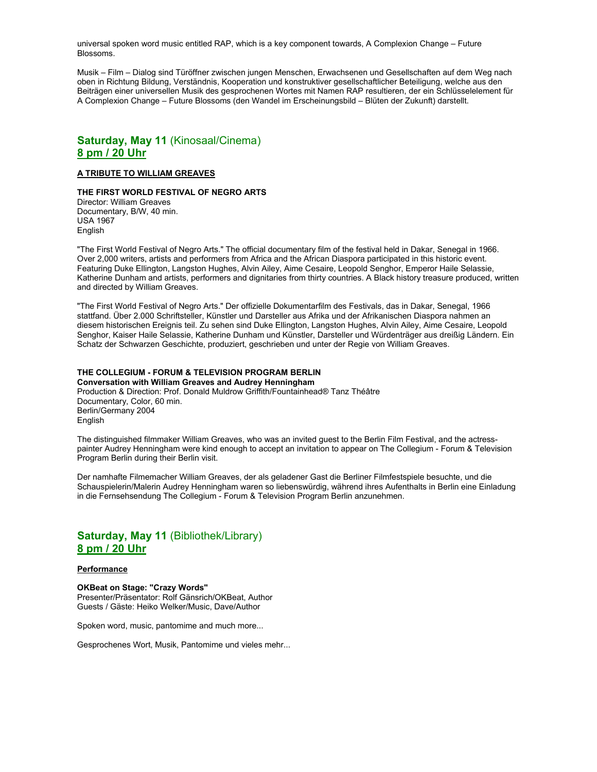universal spoken word music entitled RAP, which is a key component towards, A Complexion Change – Future Blossoms.

Musik – Film – Dialog sind Türöffner zwischen jungen Menschen, Erwachsenen und Gesellschaften auf dem Weg nach oben in Richtung Bildung, Verständnis, Kooperation und konstruktiver gesellschaftlicher Beteiligung, welche aus den Beiträgen einer universellen Musik des gesprochenen Wortes mit Namen RAP resultieren, der ein Schlüsselelement für A Complexion Change – Future Blossoms (den Wandel im Erscheinungsbild – Blüten der Zukunft) darstellt.

# **Saturday, May 11** (Kinosaal/Cinema) **8 pm / 20 Uhr**

### **A TRIBUTE TO WILLIAM GREAVES**

### **THE FIRST WORLD FESTIVAL OF NEGRO ARTS**

Director: William Greaves Documentary, B/W, 40 min. USA 1967 English

"The First World Festival of Negro Arts." The official documentary film of the festival held in Dakar, Senegal in 1966. Over 2,000 writers, artists and performers from Africa and the African Diaspora participated in this historic event. Featuring Duke Ellington, Langston Hughes, Alvin Ailey, Aime Cesaire, Leopold Senghor, Emperor Haile Selassie, Katherine Dunham and artists, performers and dignitaries from thirty countries. A Black history treasure produced, written and directed by William Greaves.

"The First World Festival of Negro Arts." Der offizielle Dokumentarfilm des Festivals, das in Dakar, Senegal, 1966 stattfand. Über 2.000 Schriftsteller, Künstler und Darsteller aus Afrika und der Afrikanischen Diaspora nahmen an diesem historischen Ereignis teil. Zu sehen sind Duke Ellington, Langston Hughes, Alvin Ailey, Aime Cesaire, Leopold Senghor, Kaiser Haile Selassie, Katherine Dunham und Künstler, Darsteller und Würdenträger aus dreißig Ländern. Ein Schatz der Schwarzen Geschichte, produziert, geschrieben und unter der Regie von William Greaves.

### **THE COLLEGIUM - FORUM & TELEVISION PROGRAM BERLIN**

**Conversation with William Greaves and Audrey Henningham**  Production & Direction: Prof. Donald Muldrow Griffith/Fountainhead® Tanz Théâtre Documentary, Color, 60 min. Berlin/Germany 2004 **English** 

The distinguished filmmaker William Greaves, who was an invited guest to the Berlin Film Festival, and the actresspainter Audrey Henningham were kind enough to accept an invitation to appear on The Collegium - Forum & Television Program Berlin during their Berlin visit.

Der namhafte Filmemacher William Greaves, der als geladener Gast die Berliner Filmfestspiele besuchte, und die Schauspielerin/Malerin Audrey Henningham waren so liebenswürdig, während ihres Aufenthalts in Berlin eine Einladung in die Fernsehsendung The Collegium - Forum & Television Program Berlin anzunehmen.

# **Saturday, May 11** (Bibliothek/Library) **8 pm / 20 Uhr**

### **Performance**

**OKBeat on Stage: "Crazy Words"**  Presenter/Präsentator: Rolf Gänsrich/OKBeat, Author Guests / Gäste: Heiko Welker/Music, Dave/Author

Spoken word, music, pantomime and much more...

Gesprochenes Wort, Musik, Pantomime und vieles mehr...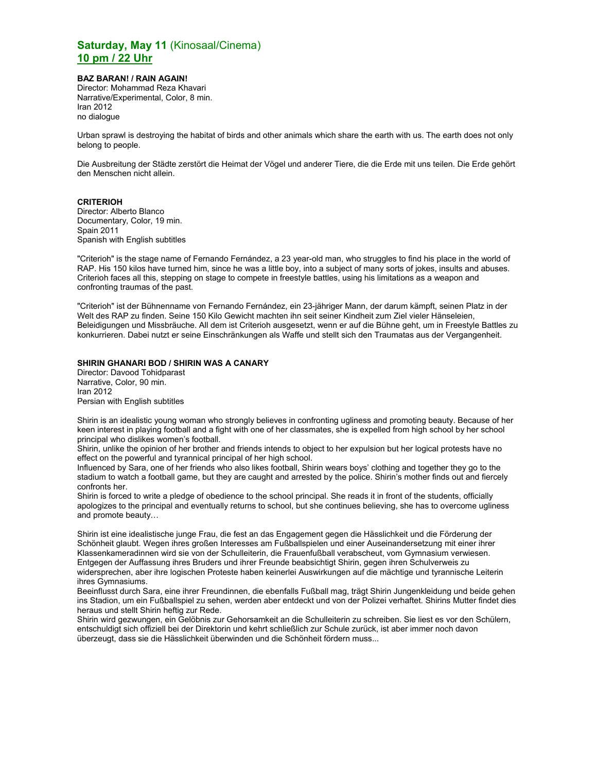# **Saturday, May 11** (Kinosaal/Cinema) **10 pm / 22 Uhr**

### **BAZ BARAN! / RAIN AGAIN!**

Director: Mohammad Reza Khavari Narrative/Experimental, Color, 8 min. Iran 2012 no dialogue

Urban sprawl is destroying the habitat of birds and other animals which share the earth with us. The earth does not only belong to people.

Die Ausbreitung der Städte zerstört die Heimat der Vögel und anderer Tiere, die die Erde mit uns teilen. Die Erde gehört den Menschen nicht allein.

### **CRITERIOH**

Director: Alberto Blanco Documentary, Color, 19 min. Spain 2011 Spanish with English subtitles

"Criterioh" is the stage name of Fernando Fernández, a 23 year-old man, who struggles to find his place in the world of RAP. His 150 kilos have turned him, since he was a little boy, into a subject of many sorts of jokes, insults and abuses. Criterioh faces all this, stepping on stage to compete in freestyle battles, using his limitations as a weapon and confronting traumas of the past.

"Criterioh" ist der Bühnenname von Fernando Fernández, ein 23-jähriger Mann, der darum kämpft, seinen Platz in der Welt des RAP zu finden. Seine 150 Kilo Gewicht machten ihn seit seiner Kindheit zum Ziel vieler Hänseleien, Beleidigungen und Missbräuche. All dem ist Criterioh ausgesetzt, wenn er auf die Bühne geht, um in Freestyle Battles zu konkurrieren. Dabei nutzt er seine Einschränkungen als Waffe und stellt sich den Traumatas aus der Vergangenheit.

### **SHIRIN GHANARI BOD / SHIRIN WAS A CANARY**

Director: Davood Tohidparast Narrative, Color, 90 min. Iran 2012 Persian with English subtitles

Shirin is an idealistic young woman who strongly believes in confronting ugliness and promoting beauty. Because of her keen interest in playing football and a fight with one of her classmates, she is expelled from high school by her school principal who dislikes women's football.

Shirin, unlike the opinion of her brother and friends intends to object to her expulsion but her logical protests have no effect on the powerful and tyrannical principal of her high school.

Influenced by Sara, one of her friends who also likes football, Shirin wears boys' clothing and together they go to the stadium to watch a football game, but they are caught and arrested by the police. Shirin's mother finds out and fiercely confronts her.

Shirin is forced to write a pledge of obedience to the school principal. She reads it in front of the students, officially apologizes to the principal and eventually returns to school, but she continues believing, she has to overcome ugliness and promote beauty…

Shirin ist eine idealistische junge Frau, die fest an das Engagement gegen die Hässlichkeit und die Förderung der Schönheit glaubt. Wegen ihres großen Interesses am Fußballspielen und einer Auseinandersetzung mit einer ihrer Klassenkameradinnen wird sie von der Schulleiterin, die Frauenfußball verabscheut, vom Gymnasium verwiesen. Entgegen der Auffassung ihres Bruders und ihrer Freunde beabsichtigt Shirin, gegen ihren Schulverweis zu widersprechen, aber ihre logischen Proteste haben keinerlei Auswirkungen auf die mächtige und tyrannische Leiterin ihres Gymnasiums.

Beeinflusst durch Sara, eine ihrer Freundinnen, die ebenfalls Fußball mag, trägt Shirin Jungenkleidung und beide gehen ins Stadion, um ein Fußballspiel zu sehen, werden aber entdeckt und von der Polizei verhaftet. Shirins Mutter findet dies heraus und stellt Shirin heftig zur Rede.

Shirin wird gezwungen, ein Gelöbnis zur Gehorsamkeit an die Schulleiterin zu schreiben. Sie liest es vor den Schülern, entschuldigt sich offiziell bei der Direktorin und kehrt schließlich zur Schule zurück, ist aber immer noch davon überzeugt, dass sie die Hässlichkeit überwinden und die Schönheit fördern muss...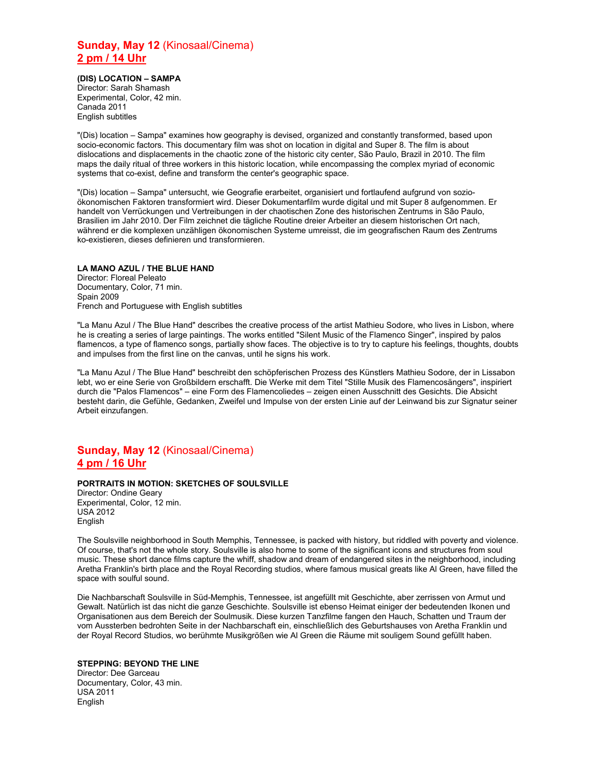# **Sunday, May 12** (Kinosaal/Cinema) **2 pm / 14 Uhr**

**(DIS) LOCATION – SAMPA**  Director: Sarah Shamash Experimental, Color, 42 min. Canada 2011 English subtitles

"(Dis) location – Sampa" examines how geography is devised, organized and constantly transformed, based upon socio-economic factors. This documentary film was shot on location in digital and Super 8. The film is about dislocations and displacements in the chaotic zone of the historic city center, São Paulo, Brazil in 2010. The film maps the daily ritual of three workers in this historic location, while encompassing the complex myriad of economic systems that co-exist, define and transform the center's geographic space.

"(Dis) location – Sampa" untersucht, wie Geografie erarbeitet, organisiert und fortlaufend aufgrund von sozioökonomischen Faktoren transformiert wird. Dieser Dokumentarfilm wurde digital und mit Super 8 aufgenommen. Er handelt von Verrückungen und Vertreibungen in der chaotischen Zone des historischen Zentrums in São Paulo, Brasilien im Jahr 2010. Der Film zeichnet die tägliche Routine dreier Arbeiter an diesem historischen Ort nach, während er die komplexen unzähligen ökonomischen Systeme umreisst, die im geografischen Raum des Zentrums ko-existieren, dieses definieren und transformieren.

### **LA MANO AZUL / THE BLUE HAND**

Director: Floreal Peleato Documentary, Color, 71 min. Spain 2009 French and Portuguese with English subtitles

"La Manu Azul / The Blue Hand" describes the creative process of the artist Mathieu Sodore, who lives in Lisbon, where he is creating a series of large paintings. The works entitled "Silent Music of the Flamenco Singer", inspired by palos flamencos, a type of flamenco songs, partially show faces. The objective is to try to capture his feelings, thoughts, doubts and impulses from the first line on the canvas, until he signs his work.

"La Manu Azul / The Blue Hand" beschreibt den schöpferischen Prozess des Künstlers Mathieu Sodore, der in Lissabon lebt, wo er eine Serie von Großbildern erschafft. Die Werke mit dem Titel "Stille Musik des Flamencosängers", inspiriert durch die "Palos Flamencos" – eine Form des Flamencoliedes – zeigen einen Ausschnitt des Gesichts. Die Absicht besteht darin, die Gefühle, Gedanken, Zweifel und Impulse von der ersten Linie auf der Leinwand bis zur Signatur seiner Arbeit einzufangen.

# **Sunday, May 12** (Kinosaal/Cinema) **4 pm / 16 Uhr**

### **PORTRAITS IN MOTION: SKETCHES OF SOULSVILLE**

Director: Ondine Geary Experimental, Color, 12 min. USA 2012 English

The Soulsville neighborhood in South Memphis, Tennessee, is packed with history, but riddled with poverty and violence. Of course, that's not the whole story. Soulsville is also home to some of the significant icons and structures from soul music. These short dance films capture the whiff, shadow and dream of endangered sites in the neighborhood, including Aretha Franklin's birth place and the Royal Recording studios, where famous musical greats like Al Green, have filled the space with soulful sound.

Die Nachbarschaft Soulsville in Süd-Memphis, Tennessee, ist angefüllt mit Geschichte, aber zerrissen von Armut und Gewalt. Natürlich ist das nicht die ganze Geschichte. Soulsville ist ebenso Heimat einiger der bedeutenden Ikonen und Organisationen aus dem Bereich der Soulmusik. Diese kurzen Tanzfilme fangen den Hauch, Schatten und Traum der vom Aussterben bedrohten Seite in der Nachbarschaft ein, einschließlich des Geburtshauses von Aretha Franklin und der Royal Record Studios, wo berühmte Musikgrößen wie Al Green die Räume mit souligem Sound gefüllt haben.

### **STEPPING: BEYOND THE LINE**

Director: Dee Garceau Documentary, Color, 43 min. USA 2011 English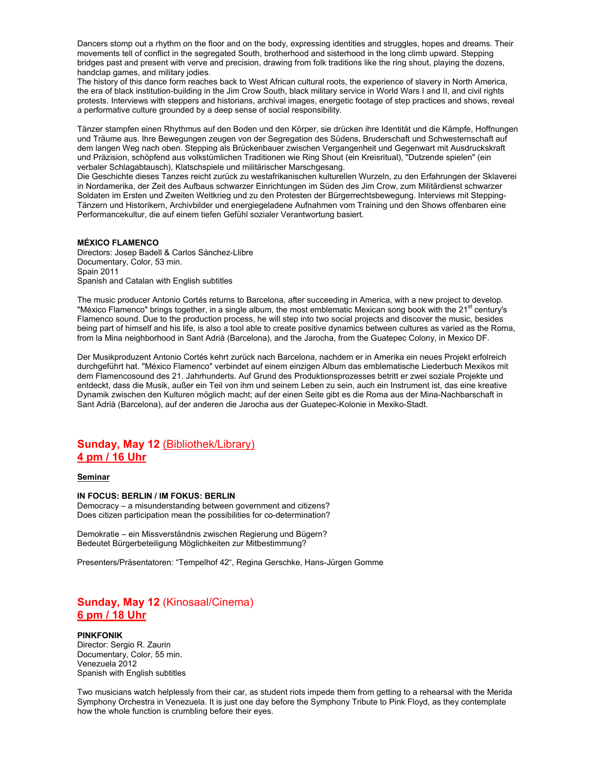Dancers stomp out a rhythm on the floor and on the body, expressing identities and struggles, hopes and dreams. Their movements tell of conflict in the segregated South, brotherhood and sisterhood in the long climb upward. Stepping bridges past and present with verve and precision, drawing from folk traditions like the ring shout, playing the dozens, handclap games, and military jodies.

The history of this dance form reaches back to West African cultural roots, the experience of slavery in North America, the era of black institution-building in the Jim Crow South, black military service in World Wars I and II, and civil rights protests. Interviews with steppers and historians, archival images, energetic footage of step practices and shows, reveal a performative culture grounded by a deep sense of social responsibility.

Tänzer stampfen einen Rhythmus auf den Boden und den Körper, sie drücken ihre Identität und die Kämpfe, Hoffnungen und Träume aus. Ihre Bewegungen zeugen von der Segregation des Südens, Bruderschaft und Schwesternschaft auf dem langen Weg nach oben. Stepping als Brückenbauer zwischen Vergangenheit und Gegenwart mit Ausdruckskraft und Präzision, schöpfend aus volkstümlichen Traditionen wie Ring Shout (ein Kreisritual), "Dutzende spielen" (ein verbaler Schlagabtausch), Klatschspiele und militärischer Marschgesang.

Die Geschichte dieses Tanzes reicht zurück zu westafrikanischen kulturellen Wurzeln, zu den Erfahrungen der Sklaverei in Nordamerika, der Zeit des Aufbaus schwarzer Einrichtungen im Süden des Jim Crow, zum Militärdienst schwarzer Soldaten im Ersten und Zweiten Weltkrieg und zu den Protesten der Bürgerrechtsbewegung. Interviews mit Stepping-Tänzern und Historikern, Archivbilder und energiegeladene Aufnahmen vom Training und den Shows offenbaren eine Performancekultur, die auf einem tiefen Gefühl sozialer Verantwortung basiert.

#### **MÉXICO FLAMENCO**

Directors: Josep Badell & Carlos Sánchez-Llibre Documentary, Color, 53 min. Spain 2011 Spanish and Catalan with English subtitles

The music producer Antonio Cortés returns to Barcelona, after succeeding in America, with a new project to develop. "México Flamenco" brings together, in a single album, the most emblematic Mexican song book with the 21<sup>st</sup> century's Flamenco sound. Due to the production process, he will step into two social projects and discover the music, besides being part of himself and his life, is also a tool able to create positive dynamics between cultures as varied as the Roma, from la Mina neighborhood in Sant Adrià (Barcelona), and the Jarocha, from the Guatepec Colony, in Mexico DF.

Der Musikproduzent Antonio Cortés kehrt zurück nach Barcelona, nachdem er in Amerika ein neues Projekt erfolreich durchgeführt hat. "México Flamenco" verbindet auf einem einzigen Album das emblematische Liederbuch Mexikos mit dem Flamencosound des 21. Jahrhunderts. Auf Grund des Produktionsprozesses betritt er zwei soziale Projekte und entdeckt, dass die Musik, außer ein Teil von ihm und seinem Leben zu sein, auch ein Instrument ist, das eine kreative Dynamik zwischen den Kulturen möglich macht; auf der einen Seite gibt es die Roma aus der Mina-Nachbarschaft in Sant Adrià (Barcelona), auf der anderen die Jarocha aus der Guatepec-Kolonie in Mexiko-Stadt.

### **Sunday, May 12** (Bibliothek/Library) **4 pm / 16 Uhr**

### **Seminar**

#### **IN FOCUS: BERLIN / IM FOKUS: BERLIN**

Democracy – a misunderstanding between government and citizens? Does citizen participation mean the possibilities for co-determination?

Demokratie – ein Missverständnis zwischen Regierung und Bügern? Bedeutet Bürgerbeteiligung Möglichkeiten zur Mitbestimmung?

Presenters/Präsentatoren: "Tempelhof 42", Regina Gerschke, Hans-Jürgen Gomme

# **Sunday, May 12** (Kinosaal/Cinema) **6 pm / 18 Uhr**

#### **PINKFONIK**  Director: Sergio R. Zaurin Documentary, Color, 55 min. Venezuela 2012 Spanish with English subtitles

Two musicians watch helplessly from their car, as student riots impede them from getting to a rehearsal with the Merida Symphony Orchestra in Venezuela. It is just one day before the Symphony Tribute to Pink Floyd, as they contemplate how the whole function is crumbling before their eyes.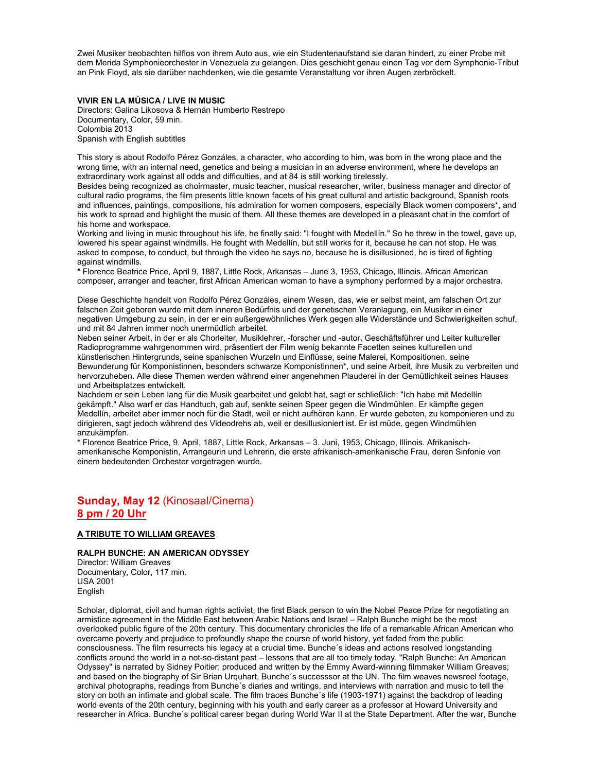Zwei Musiker beobachten hilflos von ihrem Auto aus, wie ein Studentenaufstand sie daran hindert, zu einer Probe mit dem Merida Symphonieorchester in Venezuela zu gelangen. Dies geschieht genau einen Tag vor dem Symphonie-Tribut an Pink Floyd, als sie darüber nachdenken, wie die gesamte Veranstaltung vor ihren Augen zerbröckelt.

### **VIVIR EN LA MÚSICA / LIVE IN MUSIC**

Directors: Galina Likosova & Hernán Humberto Restrepo Documentary, Color, 59 min. Colombia 2013 Spanish with English subtitles

This story is about Rodolfo Pérez Gonzáles, a character, who according to him, was born in the wrong place and the wrong time, with an internal need, genetics and being a musician in an adverse environment, where he develops an extraordinary work against all odds and difficulties, and at 84 is still working tirelessly.

Besides being recognized as choirmaster, music teacher, musical researcher, writer, business manager and director of cultural radio programs, the film presents little known facets of his great cultural and artistic background, Spanish roots and influences, paintings, compositions, his admiration for women composers, especially Black women composers\*, and his work to spread and highlight the music of them. All these themes are developed in a pleasant chat in the comfort of his home and workspace.

Working and living in music throughout his life, he finally said: "I fought with Medellín." So he threw in the towel, gave up, lowered his spear against windmills. He fought with Medellín, but still works for it, because he can not stop. He was asked to compose, to conduct, but through the video he says no, because he is disillusioned, he is tired of fighting against windmills.

\* Florence Beatrice Price, April 9, 1887, Little Rock, Arkansas – June 3, 1953, Chicago, Illinois. African American composer, arranger and teacher, first African American woman to have a symphony performed by a major orchestra.

Diese Geschichte handelt von Rodolfo Pérez Gonzáles, einem Wesen, das, wie er selbst meint, am falschen Ort zur falschen Zeit geboren wurde mit dem inneren Bedürfnis und der genetischen Veranlagung, ein Musiker in einer negativen Umgebung zu sein, in der er ein außergewöhnliches Werk gegen alle Widerstände und Schwierigkeiten schuf, und mit 84 Jahren immer noch unermüdlich arbeitet.

Neben seiner Arbeit, in der er als Chorleiter, Musiklehrer, -forscher und -autor, Geschäftsführer und Leiter kultureller Radioprogramme wahrgenommen wird, präsentiert der Film wenig bekannte Facetten seines kulturellen und künstlerischen Hintergrunds, seine spanischen Wurzeln und Einflüsse, seine Malerei, Kompositionen, seine Bewunderung für Komponistinnen, besonders schwarze Komponistinnen\*, und seine Arbeit, ihre Musik zu verbreiten und hervorzuheben. Alle diese Themen werden während einer angenehmen Plauderei in der Gemütlichkeit seines Hauses und Arbeitsplatzes entwickelt.

Nachdem er sein Leben lang für die Musik gearbeitet und gelebt hat, sagt er schließlich: "Ich habe mit Medellín gekämpft." Also warf er das Handtuch, gab auf, senkte seinen Speer gegen die Windmühlen. Er kämpfte gegen Medellín, arbeitet aber immer noch für die Stadt, weil er nicht aufhören kann. Er wurde gebeten, zu komponieren und zu dirigieren, sagt jedoch während des Videodrehs ab, weil er desillusioniert ist. Er ist müde, gegen Windmühlen anzukämpfen.

\* Florence Beatrice Price, 9. April, 1887, Little Rock, Arkansas – 3. Juni, 1953, Chicago, Illinois. Afrikanischamerikanische Komponistin, Arrangeurin und Lehrerin, die erste afrikanisch-amerikanische Frau, deren Sinfonie von einem bedeutenden Orchester vorgetragen wurde.

# **Sunday, May 12** (Kinosaal/Cinema) **8 pm / 20 Uhr**

### **A TRIBUTE TO WILLIAM GREAVES**

### **RALPH BUNCHE: AN AMERICAN ODYSSEY**

Director: William Greaves Documentary, Color, 117 min. USA 2001 English

Scholar, diplomat, civil and human rights activist, the first Black person to win the Nobel Peace Prize for negotiating an armistice agreement in the Middle East between Arabic Nations and Israel – Ralph Bunche might be the most overlooked public figure of the 20th century. This documentary chronicles the life of a remarkable African American who overcame poverty and prejudice to profoundly shape the course of world history, yet faded from the public consciousness. The film resurrects his legacy at a crucial time. Bunche´s ideas and actions resolved longstanding conflicts around the world in a not-so-distant past – lessons that are all too timely today. "Ralph Bunche: An American Odyssey" is narrated by Sidney Poitier; produced and written by the Emmy Award-winning filmmaker William Greaves; and based on the biography of Sir Brian Urquhart, Bunche´s successsor at the UN. The film weaves newsreel footage, archival photographs, readings from Bunche´s diaries and writings, and interviews with narration and music to tell the story on both an intimate and global scale. The film traces Bunche´s life (1903-1971) against the backdrop of leading world events of the 20th century, beginning with his youth and early career as a professor at Howard University and researcher in Africa. Bunche´s political career began during World War II at the State Department. After the war, Bunche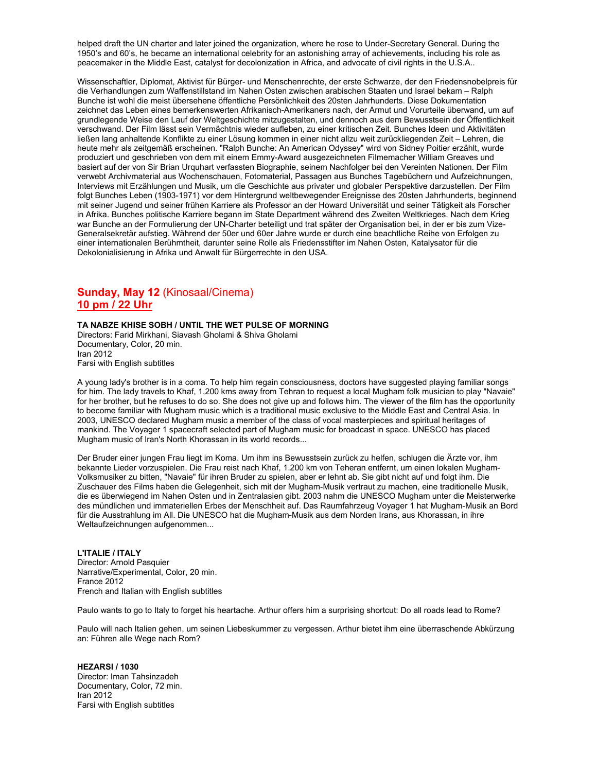helped draft the UN charter and later joined the organization, where he rose to Under-Secretary General. During the 1950's and 60's, he became an international celebrity for an astonishing array of achievements, including his role as peacemaker in the Middle East, catalyst for decolonization in Africa, and advocate of civil rights in the U.S.A..

Wissenschaftler, Diplomat, Aktivist für Bürger- und Menschenrechte, der erste Schwarze, der den Friedensnobelpreis für die Verhandlungen zum Waffenstillstand im Nahen Osten zwischen arabischen Staaten und Israel bekam – Ralph Bunche ist wohl die meist übersehene öffentliche Persönlichkeit des 20sten Jahrhunderts. Diese Dokumentation zeichnet das Leben eines bemerkenswerten Afrikanisch-Amerikaners nach, der Armut und Vorurteile überwand, um auf grundlegende Weise den Lauf der Weltgeschichte mitzugestalten, und dennoch aus dem Bewusstsein der Öffentlichkeit verschwand. Der Film lässt sein Vermächtnis wieder aufleben, zu einer kritischen Zeit. Bunches Ideen und Aktivitäten ließen lang anhaltende Konflikte zu einer Lösung kommen in einer nicht allzu weit zurückliegenden Zeit – Lehren, die heute mehr als zeitgemäß erscheinen. "Ralph Bunche: An American Odyssey" wird von Sidney Poitier erzählt, wurde produziert und geschrieben von dem mit einem Emmy-Award ausgezeichneten Filmemacher William Greaves und basiert auf der von Sir Brian Urquhart verfassten Biographie, seinem Nachfolger bei den Vereinten Nationen. Der Film verwebt Archivmaterial aus Wochenschauen, Fotomaterial, Passagen aus Bunches Tagebüchern und Aufzeichnungen, Interviews mit Erzählungen und Musik, um die Geschichte aus privater und globaler Perspektive darzustellen. Der Film folgt Bunches Leben (1903-1971) vor dem Hintergrund weltbewegender Ereignisse des 20sten Jahrhunderts, beginnend mit seiner Jugend und seiner frühen Karriere als Professor an der Howard Universität und seiner Tätigkeit als Forscher in Afrika. Bunches politische Karriere begann im State Department während des Zweiten Weltkrieges. Nach dem Krieg war Bunche an der Formulierung der UN-Charter beteiligt und trat später der Organisation bei, in der er bis zum Vize-Generalsekretär aufstieg. Während der 50er und 60er Jahre wurde er durch eine beachtliche Reihe von Erfolgen zu einer internationalen Berühmtheit, darunter seine Rolle als Friedensstifter im Nahen Osten, Katalysator für die Dekolonialisierung in Afrika und Anwalt für Bürgerrechte in den USA.

# **Sunday, May 12** (Kinosaal/Cinema) **10 pm / 22 Uhr**

**TA NABZE KHISE SOBH / UNTIL THE WET PULSE OF MORNING** 

Directors: Farid Mirkhani, Siavash Gholami & Shiva Gholami Documentary, Color, 20 min. Iran 2012 Farsi with English subtitles

A young lady's brother is in a coma. To help him regain consciousness, doctors have suggested playing familiar songs for him. The lady travels to Khaf, 1,200 kms away from Tehran to request a local Mugham folk musician to play "Navaie" for her brother, but he refuses to do so. She does not give up and follows him. The viewer of the film has the opportunity to become familiar with Mugham music which is a traditional music exclusive to the Middle East and Central Asia. In 2003, UNESCO declared Mugham music a member of the class of vocal masterpieces and spiritual heritages of mankind. The Voyager 1 spacecraft selected part of Mugham music for broadcast in space. UNESCO has placed Mugham music of Iran's North Khorassan in its world records...

Der Bruder einer jungen Frau liegt im Koma. Um ihm ins Bewusstsein zurück zu helfen, schlugen die Ärzte vor, ihm bekannte Lieder vorzuspielen. Die Frau reist nach Khaf, 1.200 km von Teheran entfernt, um einen lokalen Mugham-Volksmusiker zu bitten, "Navaie" für ihren Bruder zu spielen, aber er lehnt ab. Sie gibt nicht auf und folgt ihm. Die Zuschauer des Films haben die Gelegenheit, sich mit der Mugham-Musik vertraut zu machen, eine traditionelle Musik, die es überwiegend im Nahen Osten und in Zentralasien gibt. 2003 nahm die UNESCO Mugham unter die Meisterwerke des mündlichen und immateriellen Erbes der Menschheit auf. Das Raumfahrzeug Voyager 1 hat Mugham-Musik an Bord für die Ausstrahlung im All. Die UNESCO hat die Mugham-Musik aus dem Norden Irans, aus Khorassan, in ihre Weltaufzeichnungen aufgenommen...

**L'ITALIE / ITALY**  Director: Arnold Pasquier Narrative/Experimental, Color, 20 min. France 2012 French and Italian with English subtitles

Paulo wants to go to Italy to forget his heartache. Arthur offers him a surprising shortcut: Do all roads lead to Rome?

Paulo will nach Italien gehen, um seinen Liebeskummer zu vergessen. Arthur bietet ihm eine überraschende Abkürzung an: Führen alle Wege nach Rom?

**HEZARSI / 1030**  Director: Iman Tahsinzadeh Documentary, Color, 72 min. Iran 2012 Farsi with English subtitles